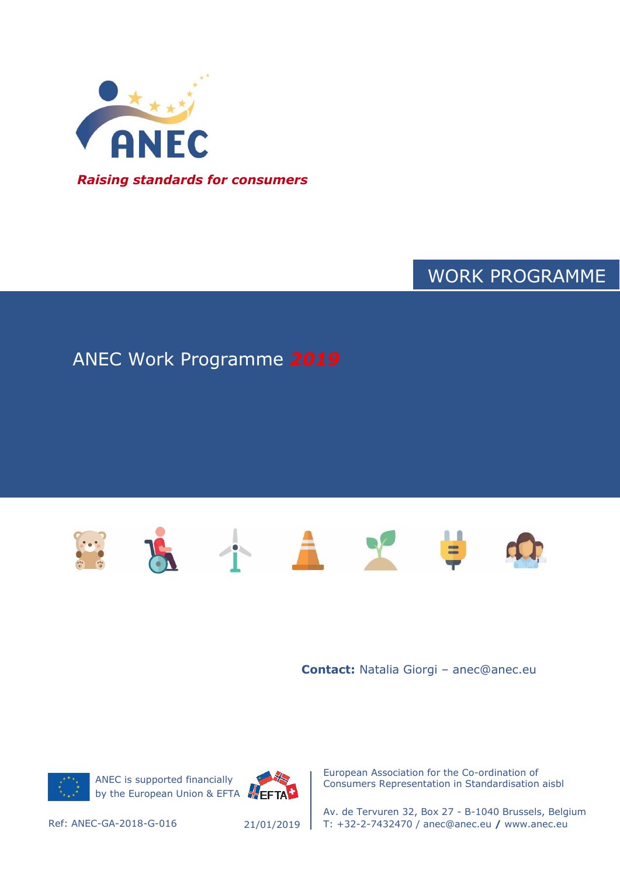

# WORK PROGRAMME

# ANEC Work Programme *2019*



**Contact:** Natalia Giorgi – anec@anec.eu



ANEC is supported financially by the European Union & EFTA EFTAT



European Association for the Co-ordination of Consumers Representation in Standardisation aisbl

Av. de Tervuren 32, Box 27 - B-1040 Brussels, Belgium Ref: ANEC-GA-2018-G-016 T: +32-2-7432470 / anec@anec.eu **/** www.anec.eu

21/01/2019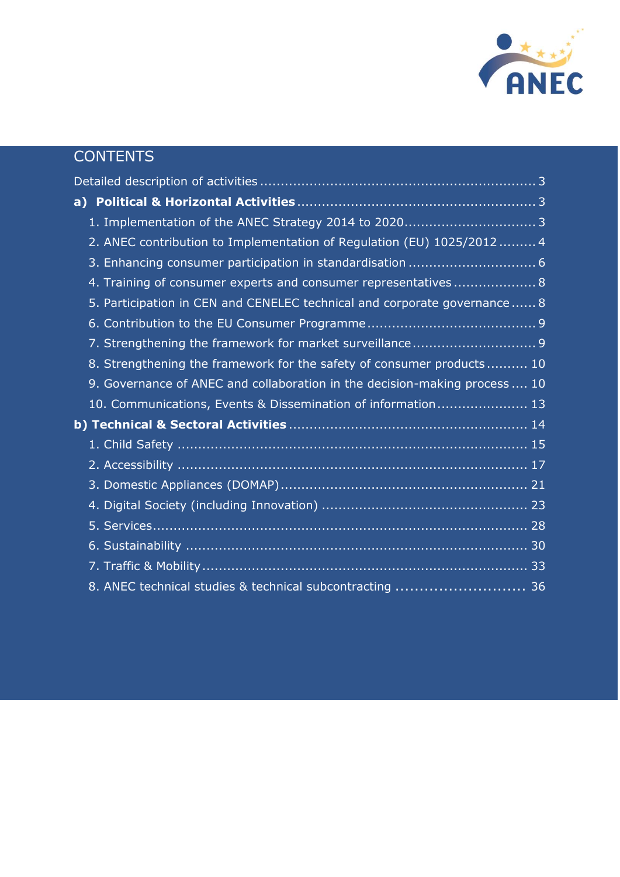

# **CONTENTS**

| 2. ANEC contribution to Implementation of Regulation (EU) 1025/2012  4     |
|----------------------------------------------------------------------------|
|                                                                            |
| 4. Training of consumer experts and consumer representatives 8             |
| 5. Participation in CEN and CENELEC technical and corporate governance 8   |
|                                                                            |
|                                                                            |
| 8. Strengthening the framework for the safety of consumer products 10      |
| 9. Governance of ANEC and collaboration in the decision-making process  10 |
| 10. Communications, Events & Dissemination of information 13               |
|                                                                            |
|                                                                            |
|                                                                            |
|                                                                            |
|                                                                            |
|                                                                            |
|                                                                            |
|                                                                            |
| 8. ANEC technical studies & technical subcontracting  36                   |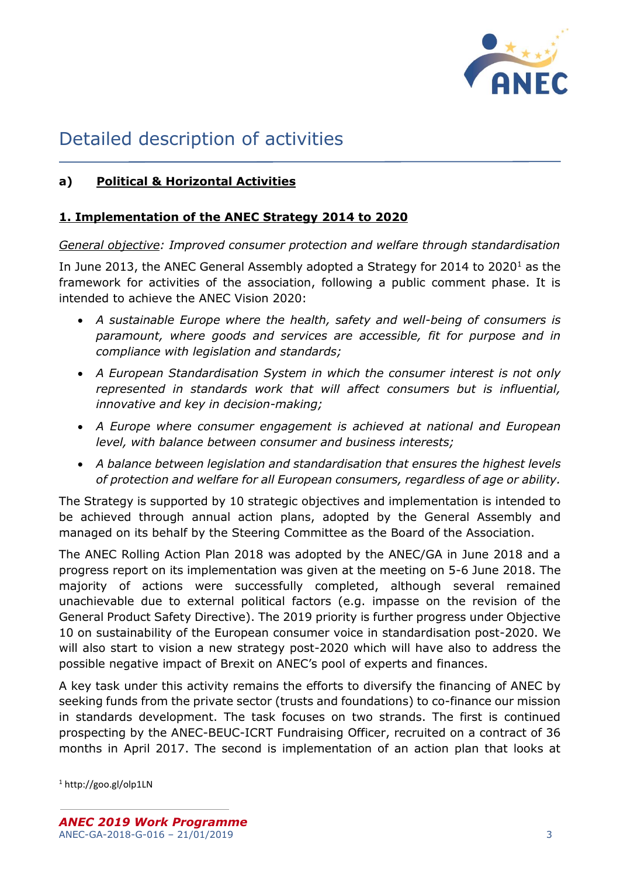

# <span id="page-2-0"></span>Detailed description of activities

# <span id="page-2-2"></span><span id="page-2-1"></span>**a) Political & Horizontal Activities**

## **1. Implementation of the ANEC Strategy 2014 to 2020**

*General objective: Improved consumer protection and welfare through standardisation*

In June 2013, the ANEC General Assembly adopted a Strategy for 2014 to 2020<sup>1</sup> as the framework for activities of the association, following a public comment phase. It is intended to achieve the ANEC Vision 2020:

- *A sustainable Europe where the health, safety and well-being of consumers is paramount, where goods and services are accessible, fit for purpose and in compliance with legislation and standards;*
- *A European Standardisation System in which the consumer interest is not only represented in standards work that will affect consumers but is influential, innovative and key in decision-making;*
- *A Europe where consumer engagement is achieved at national and European level, with balance between consumer and business interests;*
- *A balance between legislation and standardisation that ensures the highest levels of protection and welfare for all European consumers, regardless of age or ability.*

The Strategy is supported by 10 strategic objectives and implementation is intended to be achieved through annual action plans, adopted by the General Assembly and managed on its behalf by the Steering Committee as the Board of the Association.

The ANEC Rolling Action Plan 2018 was adopted by the ANEC/GA in June 2018 and a progress report on its implementation was given at the meeting on 5-6 June 2018. The majority of actions were successfully completed, although several remained unachievable due to external political factors (e.g. impasse on the revision of the General Product Safety Directive). The 2019 priority is further progress under Objective 10 on sustainability of the European consumer voice in standardisation post-2020. We will also start to vision a new strategy post-2020 which will have also to address the possible negative impact of Brexit on ANEC's pool of experts and finances.

A key task under this activity remains the efforts to diversify the financing of ANEC by seeking funds from the private sector (trusts and foundations) to co-finance our mission in standards development. The task focuses on two strands. The first is continued prospecting by the ANEC-BEUC-ICRT Fundraising Officer, recruited on a contract of 36 months in April 2017. The second is implementation of an action plan that looks at

<sup>1</sup> http://goo.gl/olp1LN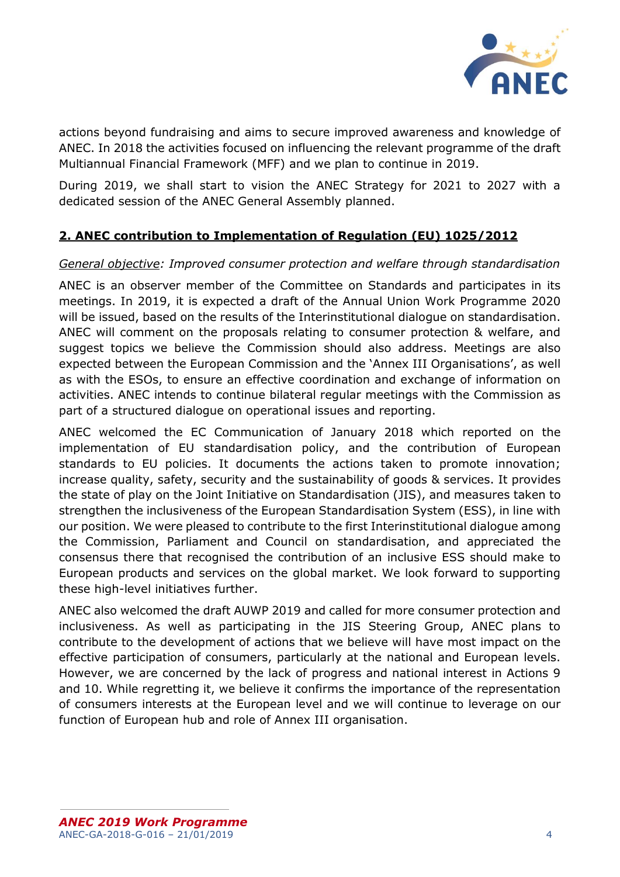

actions beyond fundraising and aims to secure improved awareness and knowledge of ANEC. In 2018 the activities focused on influencing the relevant programme of the draft Multiannual Financial Framework (MFF) and we plan to continue in 2019.

During 2019, we shall start to vision the ANEC Strategy for 2021 to 2027 with a dedicated session of the ANEC General Assembly planned.

# <span id="page-3-0"></span>**2. ANEC contribution to Implementation of Regulation (EU) 1025/2012**

# *General objective: Improved consumer protection and welfare through standardisation*

ANEC is an observer member of the Committee on Standards and participates in its meetings. In 2019, it is expected a draft of the Annual Union Work Programme 2020 will be issued, based on the results of the Interinstitutional dialogue on standardisation. ANEC will comment on the proposals relating to consumer protection & welfare, and suggest topics we believe the Commission should also address. Meetings are also expected between the European Commission and the 'Annex III Organisations', as well as with the ESOs, to ensure an effective coordination and exchange of information on activities. ANEC intends to continue bilateral regular meetings with the Commission as part of a structured dialogue on operational issues and reporting.

ANEC welcomed the EC Communication of January 2018 which reported on the implementation of EU standardisation policy, and the contribution of European standards to EU policies. It documents the actions taken to promote innovation; increase quality, safety, security and the sustainability of goods & services. It provides the state of play on the Joint Initiative on Standardisation (JIS), and measures taken to strengthen the inclusiveness of the European Standardisation System (ESS), in line with our position. We were pleased to contribute to the first Interinstitutional dialogue among the Commission, Parliament and Council on standardisation, and appreciated the consensus there that recognised the contribution of an inclusive ESS should make to European products and services on the global market. We look forward to supporting these high-level initiatives further.

ANEC also welcomed the draft AUWP 2019 and called for more consumer protection and inclusiveness. As well as participating in the JIS Steering Group, ANEC plans to contribute to the development of actions that we believe will have most impact on the effective participation of consumers, particularly at the national and European levels. However, we are concerned by the lack of progress and national interest in Actions 9 and 10. While regretting it, we believe it confirms the importance of the representation of consumers interests at the European level and we will continue to leverage on our function of European hub and role of Annex III organisation.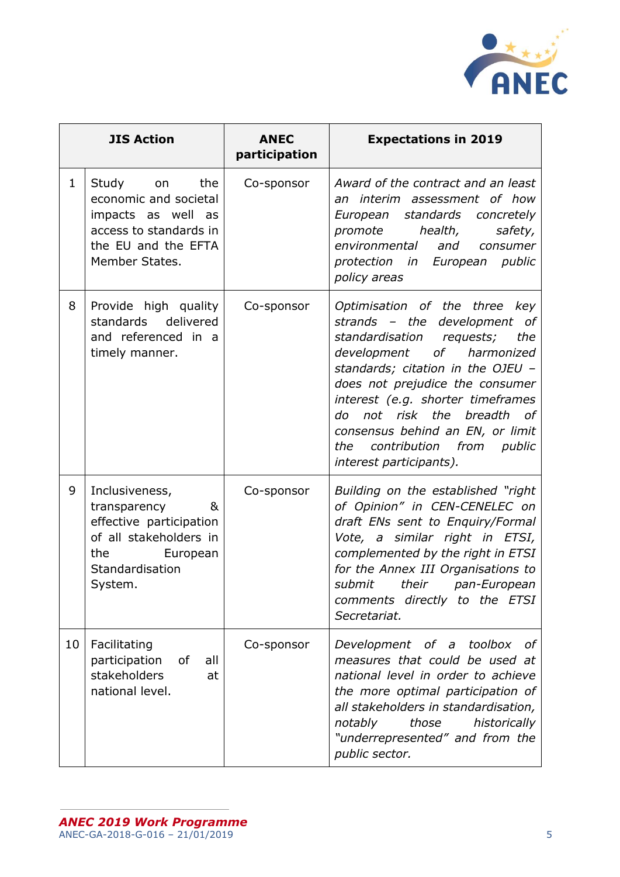

| <b>JIS Action</b> |                                                                                                                                           | <b>ANEC</b><br>participation | <b>Expectations in 2019</b>                                                                                                                                                                                                                                                                                                                                                             |
|-------------------|-------------------------------------------------------------------------------------------------------------------------------------------|------------------------------|-----------------------------------------------------------------------------------------------------------------------------------------------------------------------------------------------------------------------------------------------------------------------------------------------------------------------------------------------------------------------------------------|
| $\mathbf{1}$      | the<br>Study<br>on<br>economic and societal<br>impacts as well as<br>access to standards in<br>the EU and the EFTA<br>Member States.      | Co-sponsor                   | Award of the contract and an least<br>an interim assessment of how<br>European standards<br>concretely<br>health,<br>promote<br>safety,<br>environmental<br>and<br>consumer<br>public<br>protection in European<br>policy areas                                                                                                                                                         |
| 8                 | Provide high quality<br>standards delivered<br>and referenced in a<br>timely manner.                                                      | Co-sponsor                   | Optimisation of the three<br>key<br>strands - the development of<br>standardisation<br>the<br>requests;<br>development of harmonized<br>standards; citation in the OJEU -<br>does not prejudice the consumer<br>interest (e.g. shorter timeframes<br>do not risk the breadth<br>of<br>consensus behind an EN, or limit<br>contribution from<br>the<br>public<br>interest participants). |
| 9                 | Inclusiveness,<br>transparency<br>&<br>effective participation<br>of all stakeholders in<br>the<br>European<br>Standardisation<br>System. | Co-sponsor                   | Building on the established "right"<br>of Opinion" in CEN-CENELEC on<br>draft ENs sent to Enquiry/Formal<br>Vote, a similar right in ETSI,<br>complemented by the right in ETSI<br>for the Annex III Organisations to<br>submit<br>their pan-European<br>comments directly to the ETSI<br>Secretariat.                                                                                  |
| 10                | Facilitating<br>participation<br>of<br>all<br>stakeholders<br>at<br>national level.                                                       | Co-sponsor                   | Development of a toolbox<br>οf<br>measures that could be used at<br>national level in order to achieve<br>the more optimal participation of<br>all stakeholders in standardisation,<br>historically<br>notably<br>those<br>"underrepresented" and from the<br>public sector.                                                                                                            |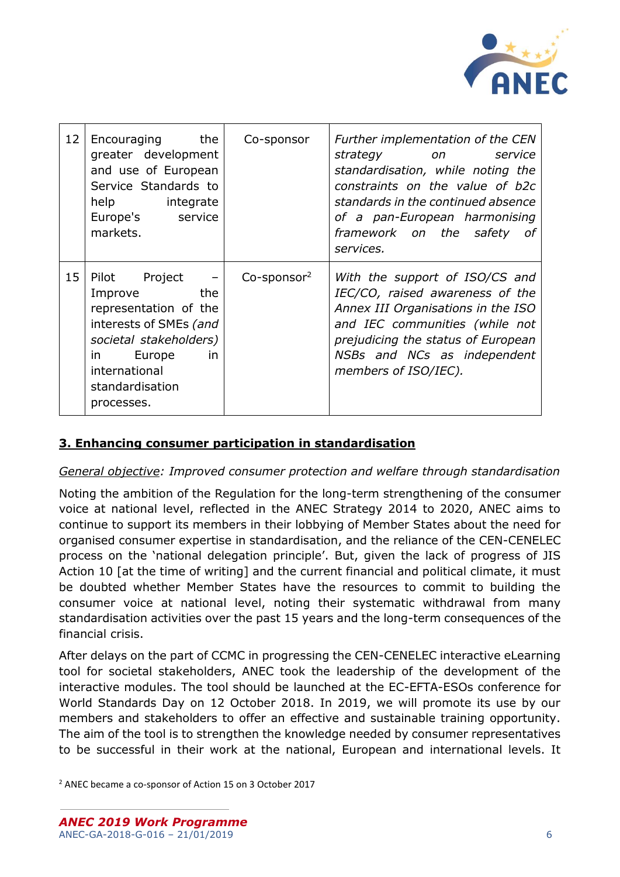

| 12 | Encouraging the<br>greater development<br>and use of European<br>Service Standards to<br>help integrate<br>Europe's service<br>markets.                                                            | Co-sponsor                 | Further implementation of the CEN<br>strategy on<br>service<br>standardisation, while noting the<br>constraints on the value of b2c<br>standards in the continued absence<br>of a pan-European harmonising<br>framework on the safety<br>- of<br>services. |
|----|----------------------------------------------------------------------------------------------------------------------------------------------------------------------------------------------------|----------------------------|------------------------------------------------------------------------------------------------------------------------------------------------------------------------------------------------------------------------------------------------------------|
| 15 | Pilot Project<br>$\sim$ $-$<br>the<br>Improve<br>representation of the<br>interests of SMEs (and<br>societal stakeholders)<br>Europe<br>in<br>in<br>international<br>standardisation<br>processes. | $Co$ -sponsor <sup>2</sup> | With the support of ISO/CS and<br>IEC/CO, raised awareness of the<br>Annex III Organisations in the ISO<br>and IEC communities (while not<br>prejudicing the status of European<br>NSBs and NCs as independent<br>members of ISO/IEC).                     |

# <span id="page-5-0"></span>**3. Enhancing consumer participation in standardisation**

### *General objective: Improved consumer protection and welfare through standardisation*

Noting the ambition of the Regulation for the long-term strengthening of the consumer voice at national level, reflected in the ANEC Strategy 2014 to 2020, ANEC aims to continue to support its members in their lobbying of Member States about the need for organised consumer expertise in standardisation, and the reliance of the CEN-CENELEC process on the 'national delegation principle'. But, given the lack of progress of JIS Action 10 [at the time of writing] and the current financial and political climate, it must be doubted whether Member States have the resources to commit to building the consumer voice at national level, noting their systematic withdrawal from many standardisation activities over the past 15 years and the long-term consequences of the financial crisis.

After delays on the part of CCMC in progressing the CEN-CENELEC interactive eLearning tool for societal stakeholders, ANEC took the leadership of the development of the interactive modules. The tool should be launched at the EC-EFTA-ESOs conference for World Standards Day on 12 October 2018. In 2019, we will promote its use by our members and stakeholders to offer an effective and sustainable training opportunity. The aim of the tool is to strengthen the knowledge needed by consumer representatives to be successful in their work at the national, European and international levels. It

<sup>2</sup> ANEC became a co-sponsor of Action 15 on 3 October 2017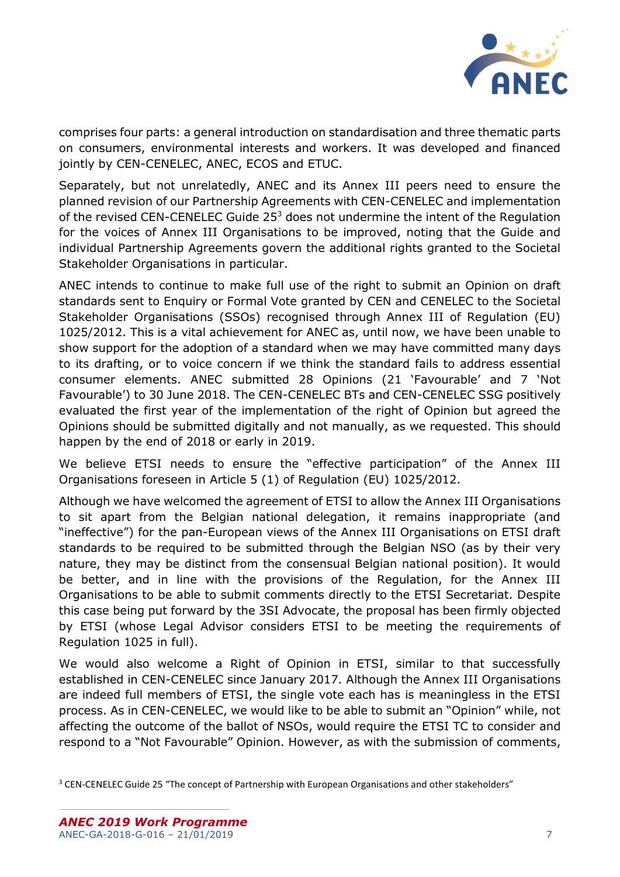

comprises four parts: a general introduction on standardisation and three thematic parts on consumers, environmental interests and workers. It was developed and financed jointly by CEN-CENELEC, ANEC, ECOS and ETUC.

Separately, but not unrelatedly, ANEC and its Annex III peers need to ensure the planned revision of our Partnership Agreements with CEN-CENELEC and implementation of the revised CEN-CENELEC Guide 25<sup>3</sup> does not undermine the intent of the Regulation for the voices of Annex III Organisations to be improved, noting that the Guide and individual Partnership Agreements govern the additional rights granted to the Societal Stakeholder Organisations in particular.

ANEC intends to continue to make full use of the right to submit an Opinion on draft standards sent to Enquiry or Formal Vote granted by CEN and CENELEC to the Societal Stakeholder Organisations (SSOs) recognised through Annex III of Regulation (EU) 1025/2012. This is a vital achievement for ANEC as, until now, we have been unable to show support for the adoption of a standard when we may have committed many days to its drafting, or to voice concern if we think the standard fails to address essential consumer elements. ANEC submitted 28 Opinions (21 'Favourable' and 7 'Not Favourable') to 30 June 2018. The CEN-CENELEC BTs and CEN-CENELEC SSG positively evaluated the first year of the implementation of the right of Opinion but agreed the Opinions should be submitted digitally and not manually, as we requested. This should happen by the end of 2018 or early in 2019.

We believe ETSI needs to ensure the "effective participation" of the Annex III Organisations foreseen in Article 5 (1) of Regulation (EU) 1025/2012.

Although we have welcomed the agreement of ETSI to allow the Annex III Organisations to sit apart from the Belgian national delegation, it remains inappropriate (and "ineffective") for the pan-European views of the Annex III Organisations on ETSI draft standards to be required to be submitted through the Belgian NSO (as by their very nature, they may be distinct from the consensual Belgian national position). It would be better, and in line with the provisions of the Regulation, for the Annex III Organisations to be able to submit comments directly to the ETSI Secretariat. Despite this case being put forward by the 3SI Advocate, the proposal has been firmly objected by ETSI (whose Legal Advisor considers ETSI to be meeting the requirements of Regulation 1025 in full).

We would also welcome a Right of Opinion in ETSI, similar to that successfully established in CEN-CENELEC since January 2017. Although the Annex III Organisations are indeed full members of ETSI, the single vote each has is meaningless in the ETSI process. As in CEN-CENELEC, we would like to be able to submit an "Opinion" while, not affecting the outcome of the ballot of NSOs, would require the ETSI TC to consider and respond to a "Not Favourable" Opinion. However, as with the submission of comments,

<sup>&</sup>lt;sup>3</sup> CEN-CENELEC Guide 25 "The concept of Partnership with European Organisations and other stakeholders"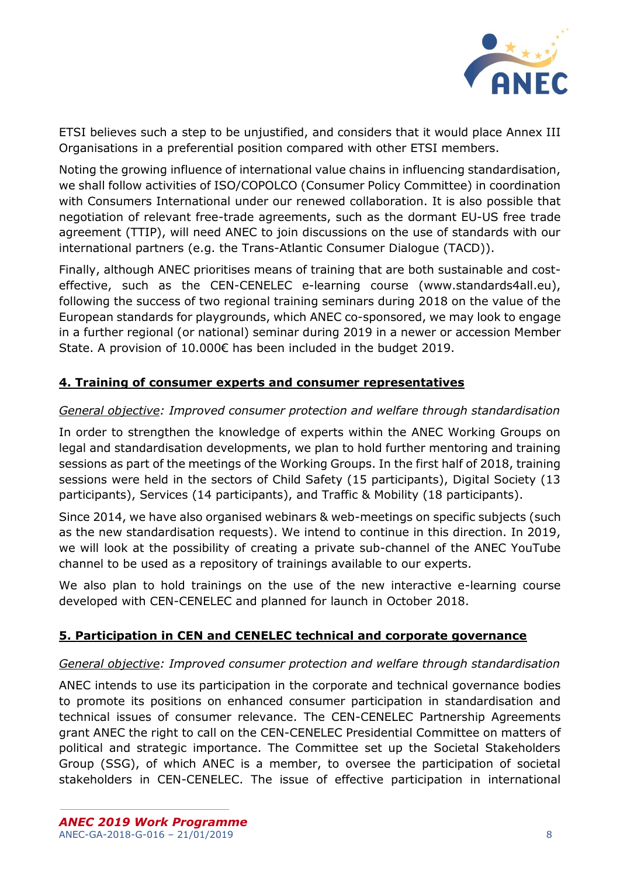

ETSI believes such a step to be unjustified, and considers that it would place Annex III Organisations in a preferential position compared with other ETSI members.

Noting the growing influence of international value chains in influencing standardisation, we shall follow activities of ISO/COPOLCO (Consumer Policy Committee) in coordination with Consumers International under our renewed collaboration. It is also possible that negotiation of relevant free-trade agreements, such as the dormant EU-US free trade agreement (TTIP), will need ANEC to join discussions on the use of standards with our international partners (e.g. the Trans-Atlantic Consumer Dialogue (TACD)).

Finally, although ANEC prioritises means of training that are both sustainable and costeffective, such as the CEN-CENELEC e-learning course (www.standards4all.eu), following the success of two regional training seminars during 2018 on the value of the European standards for playgrounds, which ANEC co-sponsored, we may look to engage in a further regional (or national) seminar during 2019 in a newer or accession Member State. A provision of 10.000€ has been included in the budget 2019.

# <span id="page-7-0"></span>**4. Training of consumer experts and consumer representatives**

## *General objective: Improved consumer protection and welfare through standardisation*

In order to strengthen the knowledge of experts within the ANEC Working Groups on legal and standardisation developments, we plan to hold further mentoring and training sessions as part of the meetings of the Working Groups. In the first half of 2018, training sessions were held in the sectors of Child Safety (15 participants), Digital Society (13 participants), Services (14 participants), and Traffic & Mobility (18 participants).

Since 2014, we have also organised webinars & web-meetings on specific subjects (such as the new standardisation requests). We intend to continue in this direction. In 2019, we will look at the possibility of creating a private sub-channel of the ANEC YouTube channel to be used as a repository of trainings available to our experts.

We also plan to hold trainings on the use of the new interactive e-learning course developed with CEN-CENELEC and planned for launch in October 2018.

### <span id="page-7-1"></span>**5. Participation in CEN and CENELEC technical and corporate governance**

### *General objective: Improved consumer protection and welfare through standardisation*

ANEC intends to use its participation in the corporate and technical governance bodies to promote its positions on enhanced consumer participation in standardisation and technical issues of consumer relevance. The CEN-CENELEC Partnership Agreements grant ANEC the right to call on the CEN-CENELEC Presidential Committee on matters of political and strategic importance. The Committee set up the Societal Stakeholders Group (SSG), of which ANEC is a member, to oversee the participation of societal stakeholders in CEN-CENELEC. The issue of effective participation in international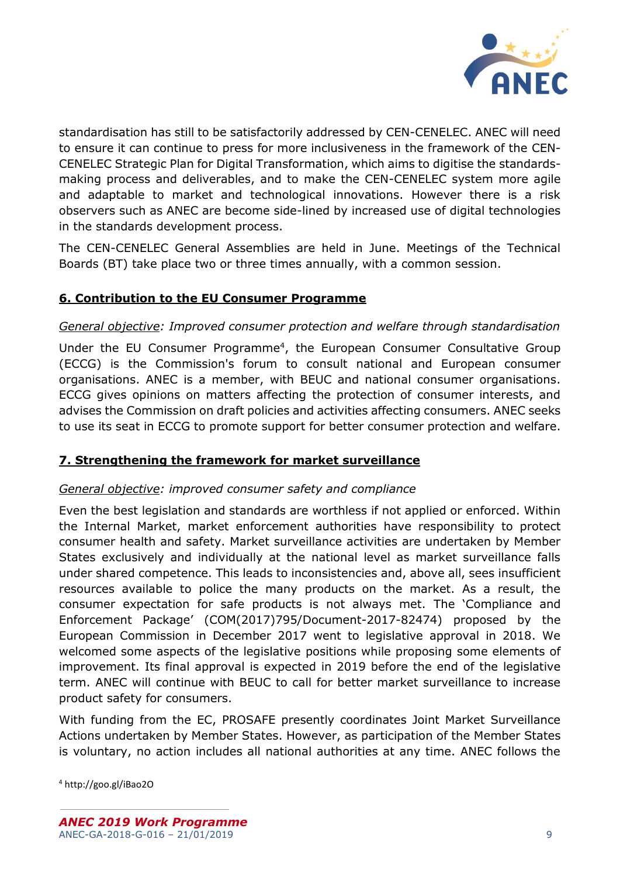

standardisation has still to be satisfactorily addressed by CEN-CENELEC. ANEC will need to ensure it can continue to press for more inclusiveness in the framework of the CEN-CENELEC Strategic Plan for Digital Transformation, which aims to digitise the standardsmaking process and deliverables, and to make the CEN-CENELEC system more agile and adaptable to market and technological innovations. However there is a risk observers such as ANEC are become side-lined by increased use of digital technologies in the standards development process.

The CEN-CENELEC General Assemblies are held in June. Meetings of the Technical Boards (BT) take place two or three times annually, with a common session.

# <span id="page-8-0"></span>**6. Contribution to the EU Consumer Programme**

## *General objective: Improved consumer protection and welfare through standardisation*

Under the EU Consumer Programme<sup>4</sup>, the European Consumer Consultative Group (ECCG) is the Commission's forum to consult national and European consumer organisations. ANEC is a member, with BEUC and national consumer organisations. ECCG gives opinions on matters affecting the protection of consumer interests, and advises the Commission on draft policies and activities affecting consumers. ANEC seeks to use its seat in ECCG to promote support for better consumer protection and welfare.

# <span id="page-8-1"></span>**7. Strengthening the framework for market surveillance**

# *General objective: improved consumer safety and compliance*

Even the best legislation and standards are worthless if not applied or enforced. Within the Internal Market, market enforcement authorities have responsibility to protect consumer health and safety. Market surveillance activities are undertaken by Member States exclusively and individually at the national level as market surveillance falls under shared competence. This leads to inconsistencies and, above all, sees insufficient resources available to police the many products on the market. As a result, the consumer expectation for safe products is not always met. The 'Compliance and Enforcement Package' (COM(2017)795/Document-2017-82474) proposed by the European Commission in December 2017 went to legislative approval in 2018. We welcomed some aspects of the legislative positions while proposing some elements of improvement. Its final approval is expected in 2019 before the end of the legislative term. ANEC will continue with BEUC to call for better market surveillance to increase product safety for consumers.

With funding from the EC, PROSAFE presently coordinates Joint Market Surveillance Actions undertaken by Member States. However, as participation of the Member States is voluntary, no action includes all national authorities at any time. ANEC follows the

<sup>4</sup> http://goo.gl/iBao2O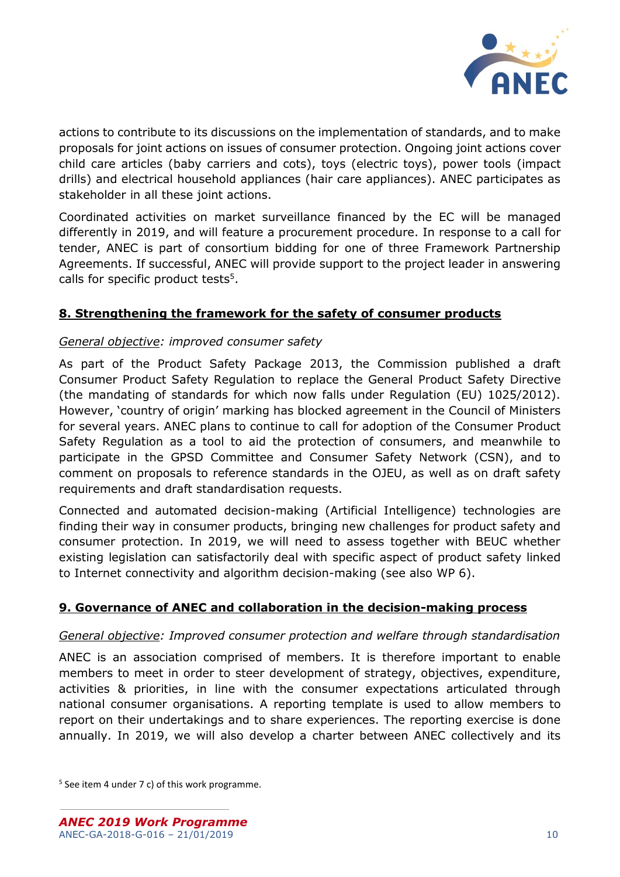

actions to contribute to its discussions on the implementation of standards, and to make proposals for joint actions on issues of consumer protection. Ongoing joint actions cover child care articles (baby carriers and cots), toys (electric toys), power tools (impact drills) and electrical household appliances (hair care appliances). ANEC participates as stakeholder in all these joint actions.

Coordinated activities on market surveillance financed by the EC will be managed differently in 2019, and will feature a procurement procedure. In response to a call for tender, ANEC is part of consortium bidding for one of three Framework Partnership Agreements. If successful, ANEC will provide support to the project leader in answering calls for specific product tests<sup>5</sup>.

# <span id="page-9-0"></span>**8. Strengthening the framework for the safety of consumer products**

# *General objective: improved consumer safety*

As part of the Product Safety Package 2013, the Commission published a draft Consumer Product Safety Regulation to replace the General Product Safety Directive (the mandating of standards for which now falls under Regulation (EU) 1025/2012). However, 'country of origin' marking has blocked agreement in the Council of Ministers for several years. ANEC plans to continue to call for adoption of the Consumer Product Safety Regulation as a tool to aid the protection of consumers, and meanwhile to participate in the GPSD Committee and Consumer Safety Network (CSN), and to comment on proposals to reference standards in the OJEU, as well as on draft safety requirements and draft standardisation requests.

Connected and automated decision-making (Artificial Intelligence) technologies are finding their way in consumer products, bringing new challenges for product safety and consumer protection. In 2019, we will need to assess together with BEUC whether existing legislation can satisfactorily deal with specific aspect of product safety linked to Internet connectivity and algorithm decision-making (see also WP 6).

# <span id="page-9-1"></span>**9. Governance of ANEC and collaboration in the decision-making process**

### *General objective: Improved consumer protection and welfare through standardisation*

ANEC is an association comprised of members. It is therefore important to enable members to meet in order to steer development of strategy, objectives, expenditure, activities & priorities, in line with the consumer expectations articulated through national consumer organisations. A reporting template is used to allow members to report on their undertakings and to share experiences. The reporting exercise is done annually. In 2019, we will also develop a charter between ANEC collectively and its

<sup>5</sup> See item 4 under 7 c) of this work programme.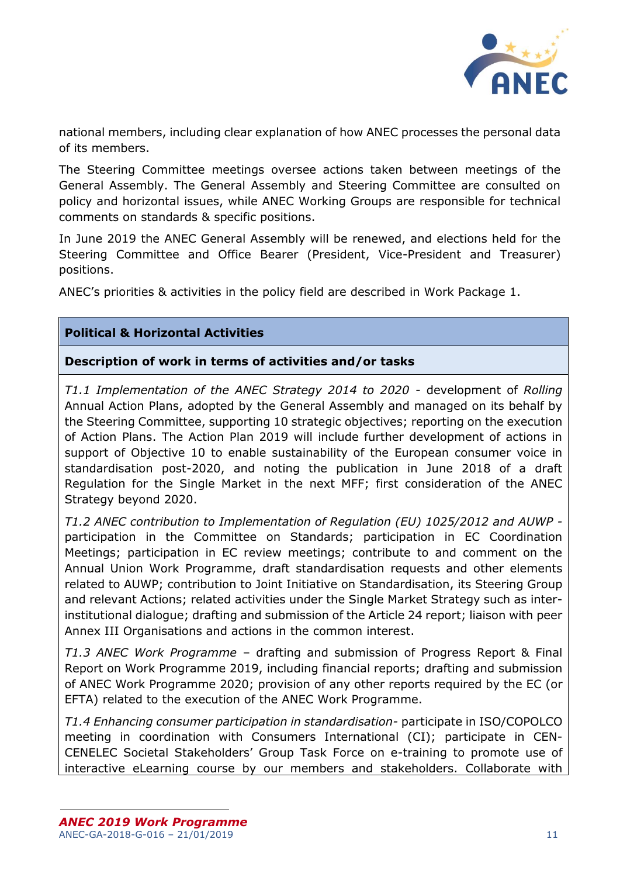

national members, including clear explanation of how ANEC processes the personal data of its members.

The Steering Committee meetings oversee actions taken between meetings of the General Assembly. The General Assembly and Steering Committee are consulted on policy and horizontal issues, while ANEC Working Groups are responsible for technical comments on standards & specific positions.

In June 2019 the ANEC General Assembly will be renewed, and elections held for the Steering Committee and Office Bearer (President, Vice-President and Treasurer) positions.

ANEC's priorities & activities in the policy field are described in Work Package 1.

# **Political & Horizontal Activities**

**Description of work in terms of activities and/or tasks**

*T1.1 Implementation of the ANEC Strategy 2014 to 2020 -* development of *Rolling*  Annual Action Plans, adopted by the General Assembly and managed on its behalf by the Steering Committee, supporting 10 strategic objectives; reporting on the execution of Action Plans. The Action Plan 2019 will include further development of actions in support of Objective 10 to enable sustainability of the European consumer voice in standardisation post-2020, and noting the publication in June 2018 of a draft Regulation for the Single Market in the next MFF; first consideration of the ANEC Strategy beyond 2020.

*T1.2 ANEC contribution to Implementation of Regulation (EU) 1025/2012 and AUWP*  participation in the Committee on Standards; participation in EC Coordination Meetings; participation in EC review meetings; contribute to and comment on the Annual Union Work Programme, draft standardisation requests and other elements related to AUWP; contribution to Joint Initiative on Standardisation, its Steering Group and relevant Actions; related activities under the Single Market Strategy such as interinstitutional dialogue; drafting and submission of the Article 24 report; liaison with peer Annex III Organisations and actions in the common interest.

*T1.3 ANEC Work Programme* – drafting and submission of Progress Report & Final Report on Work Programme 2019, including financial reports; drafting and submission of ANEC Work Programme 2020; provision of any other reports required by the EC (or EFTA) related to the execution of the ANEC Work Programme.

*T1.4 Enhancing consumer participation in standardisation-* participate in ISO/COPOLCO meeting in coordination with Consumers International (CI); participate in CEN-CENELEC Societal Stakeholders' Group Task Force on e-training to promote use of interactive eLearning course by our members and stakeholders. Collaborate with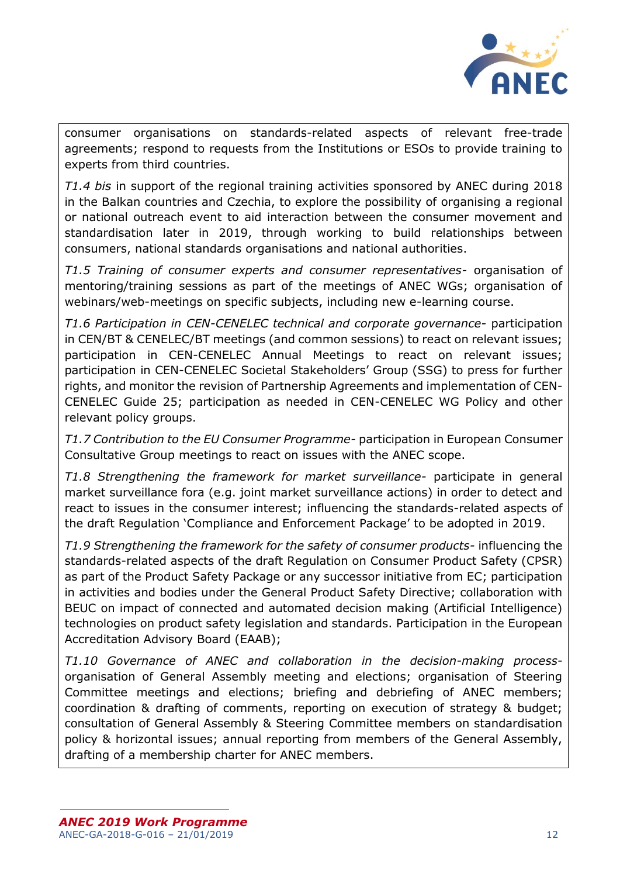

consumer organisations on standards-related aspects of relevant free-trade agreements; respond to requests from the Institutions or ESOs to provide training to experts from third countries.

*T1.4 bis* in support of the regional training activities sponsored by ANEC during 2018 in the Balkan countries and Czechia, to explore the possibility of organising a regional or national outreach event to aid interaction between the consumer movement and standardisation later in 2019, through working to build relationships between consumers, national standards organisations and national authorities.

*T1.5 Training of consumer experts and consumer representatives-* organisation of mentoring/training sessions as part of the meetings of ANEC WGs; organisation of webinars/web-meetings on specific subjects, including new e-learning course.

*T1.6 Participation in CEN-CENELEC technical and corporate governance-* participation in CEN/BT & CENELEC/BT meetings (and common sessions) to react on relevant issues; participation in CEN-CENELEC Annual Meetings to react on relevant issues; participation in CEN-CENELEC Societal Stakeholders' Group (SSG) to press for further rights, and monitor the revision of Partnership Agreements and implementation of CEN-CENELEC Guide 25; participation as needed in CEN-CENELEC WG Policy and other relevant policy groups.

*T1.7 Contribution to the EU Consumer Programme-* participation in European Consumer Consultative Group meetings to react on issues with the ANEC scope.

*T1.8 Strengthening the framework for market surveillance-* participate in general market surveillance fora (e.g. joint market surveillance actions) in order to detect and react to issues in the consumer interest; influencing the standards-related aspects of the draft Regulation 'Compliance and Enforcement Package' to be adopted in 2019.

*T1.9 Strengthening the framework for the safety of consumer products-* influencing the standards-related aspects of the draft Regulation on Consumer Product Safety (CPSR) as part of the Product Safety Package or any successor initiative from EC; participation in activities and bodies under the General Product Safety Directive; collaboration with BEUC on impact of connected and automated decision making (Artificial Intelligence) technologies on product safety legislation and standards. Participation in the European Accreditation Advisory Board (EAAB);

*T1.10 Governance of ANEC and collaboration in the decision-making process*organisation of General Assembly meeting and elections; organisation of Steering Committee meetings and elections; briefing and debriefing of ANEC members; coordination & drafting of comments, reporting on execution of strategy & budget; consultation of General Assembly & Steering Committee members on standardisation policy & horizontal issues; annual reporting from members of the General Assembly, drafting of a membership charter for ANEC members.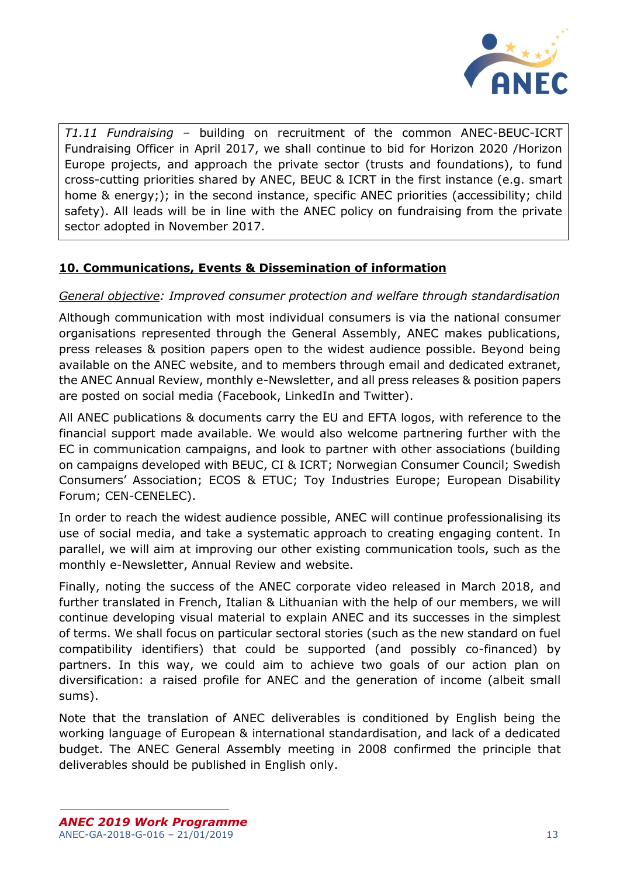

*T1.11 Fundraising –* building on recruitment of the common ANEC-BEUC-ICRT Fundraising Officer in April 2017, we shall continue to bid for Horizon 2020 /Horizon Europe projects, and approach the private sector (trusts and foundations), to fund cross-cutting priorities shared by ANEC, BEUC & ICRT in the first instance (e.g. smart home & energy;); in the second instance, specific ANEC priorities (accessibility; child safety). All leads will be in line with the ANEC policy on fundraising from the private sector adopted in November 2017.

# <span id="page-12-0"></span>**10. Communications, Events & Dissemination of information**

# *General objective: Improved consumer protection and welfare through standardisation*

Although communication with most individual consumers is via the national consumer organisations represented through the General Assembly, ANEC makes publications, press releases & position papers open to the widest audience possible. Beyond being available on the ANEC website, and to members through email and dedicated extranet, the ANEC Annual Review, monthly e-Newsletter, and all press releases & position papers are posted on social media (Facebook, LinkedIn and Twitter).

All ANEC publications & documents carry the EU and EFTA logos, with reference to the financial support made available. We would also welcome partnering further with the EC in communication campaigns, and look to partner with other associations (building on campaigns developed with BEUC, CI & ICRT; Norwegian Consumer Council; Swedish Consumers' Association; ECOS & ETUC; Toy Industries Europe; European Disability Forum; CEN-CENELEC).

In order to reach the widest audience possible, ANEC will continue professionalising its use of social media, and take a systematic approach to creating engaging content. In parallel, we will aim at improving our other existing communication tools, such as the monthly e-Newsletter, Annual Review and website.

Finally, noting the success of the ANEC corporate video released in March 2018, and further translated in French, Italian & Lithuanian with the help of our members, we will continue developing visual material to explain ANEC and its successes in the simplest of terms. We shall focus on particular sectoral stories (such as the new standard on fuel compatibility identifiers) that could be supported (and possibly co-financed) by partners. In this way, we could aim to achieve two goals of our action plan on diversification: a raised profile for ANEC and the generation of income (albeit small sums).

Note that the translation of ANEC deliverables is conditioned by English being the working language of European & international standardisation, and lack of a dedicated budget. The ANEC General Assembly meeting in 2008 confirmed the principle that deliverables should be published in English only.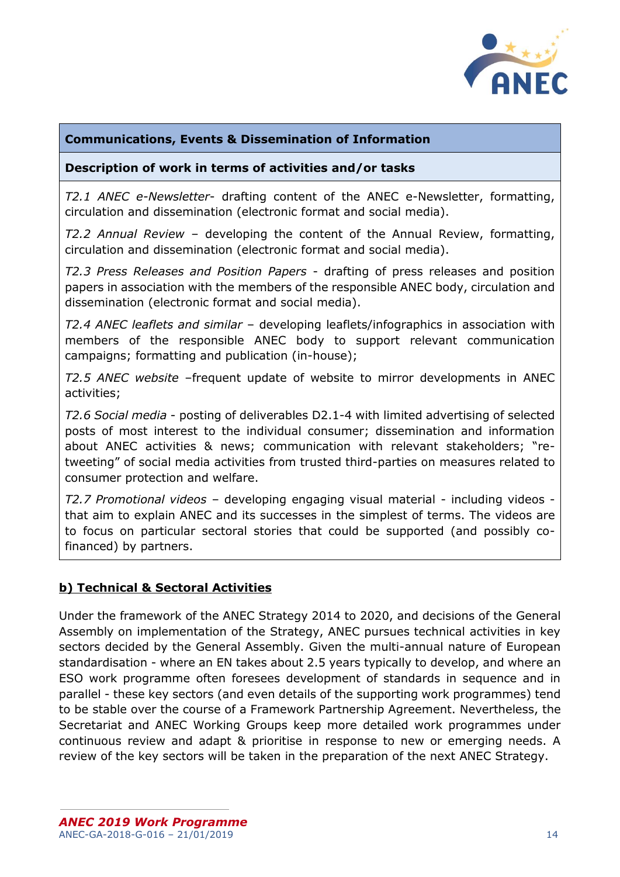

# **Communications, Events & Dissemination of Information**

### **Description of work in terms of activities and/or tasks**

*T2.1 ANEC e-Newsletter*- drafting content of the ANEC e-Newsletter, formatting, circulation and dissemination (electronic format and social media).

*T2.2 Annual Review* – developing the content of the Annual Review, formatting, circulation and dissemination (electronic format and social media).

*T2.3 Press Releases and Position Papers* - drafting of press releases and position papers in association with the members of the responsible ANEC body, circulation and dissemination (electronic format and social media).

*T2.4 ANEC leaflets and similar* – developing leaflets/infographics in association with members of the responsible ANEC body to support relevant communication campaigns; formatting and publication (in-house);

*T2.5 ANEC website* –frequent update of website to mirror developments in ANEC activities;

*T2.6 Social media* - posting of deliverables D2.1-4 with limited advertising of selected posts of most interest to the individual consumer; dissemination and information about ANEC activities & news; communication with relevant stakeholders; "retweeting" of social media activities from trusted third-parties on measures related to consumer protection and welfare.

*T2.7 Promotional videos* – developing engaging visual material - including videos that aim to explain ANEC and its successes in the simplest of terms. The videos are to focus on particular sectoral stories that could be supported (and possibly cofinanced) by partners.

### <span id="page-13-0"></span>**b) Technical & Sectoral Activities**

Under the framework of the ANEC Strategy 2014 to 2020, and decisions of the General Assembly on implementation of the Strategy, ANEC pursues technical activities in key sectors decided by the General Assembly. Given the multi-annual nature of European standardisation - where an EN takes about 2.5 years typically to develop, and where an ESO work programme often foresees development of standards in sequence and in parallel - these key sectors (and even details of the supporting work programmes) tend to be stable over the course of a Framework Partnership Agreement. Nevertheless, the Secretariat and ANEC Working Groups keep more detailed work programmes under continuous review and adapt & prioritise in response to new or emerging needs. A review of the key sectors will be taken in the preparation of the next ANEC Strategy.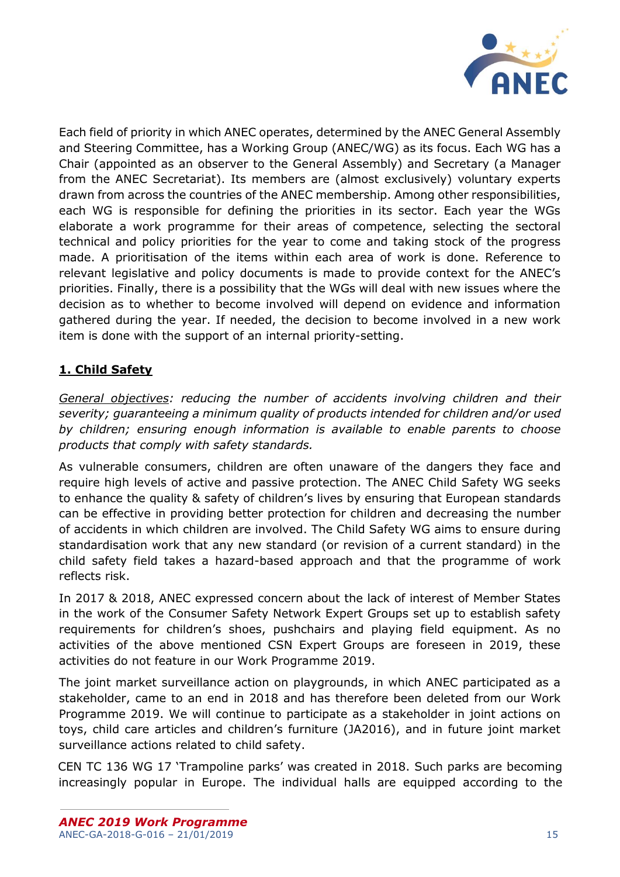

Each field of priority in which ANEC operates, determined by the ANEC General Assembly and Steering Committee, has a Working Group (ANEC/WG) as its focus. Each WG has a Chair (appointed as an observer to the General Assembly) and Secretary (a Manager from the ANEC Secretariat). Its members are (almost exclusively) voluntary experts drawn from across the countries of the ANEC membership. Among other responsibilities, each WG is responsible for defining the priorities in its sector. Each year the WGs elaborate a work programme for their areas of competence, selecting the sectoral technical and policy priorities for the year to come and taking stock of the progress made. A prioritisation of the items within each area of work is done. Reference to relevant legislative and policy documents is made to provide context for the ANEC's priorities. Finally, there is a possibility that the WGs will deal with new issues where the decision as to whether to become involved will depend on evidence and information gathered during the year. If needed, the decision to become involved in a new work item is done with the support of an internal priority-setting.

# <span id="page-14-0"></span>**1. Child Safety**

*General objectives: reducing the number of accidents involving children and their severity; guaranteeing a minimum quality of products intended for children and/or used by children; ensuring enough information is available to enable parents to choose products that comply with safety standards.* 

As vulnerable consumers, children are often unaware of the dangers they face and require high levels of active and passive protection. The ANEC Child Safety WG seeks to enhance the quality & safety of children's lives by ensuring that European standards can be effective in providing better protection for children and decreasing the number of accidents in which children are involved. The Child Safety WG aims to ensure during standardisation work that any new standard (or revision of a current standard) in the child safety field takes a hazard-based approach and that the programme of work reflects risk.

In 2017 & 2018, ANEC expressed concern about the lack of interest of Member States in the work of the Consumer Safety Network Expert Groups set up to establish safety requirements for children's shoes, pushchairs and playing field equipment. As no activities of the above mentioned CSN Expert Groups are foreseen in 2019, these activities do not feature in our Work Programme 2019.

The joint market surveillance action on playgrounds, in which ANEC participated as a stakeholder, came to an end in 2018 and has therefore been deleted from our Work Programme 2019. We will continue to participate as a stakeholder in joint actions on toys, child care articles and children's furniture (JA2016), and in future joint market surveillance actions related to child safety.

CEN TC 136 WG 17 'Trampoline parks' was created in 2018. Such parks are becoming increasingly popular in Europe. The individual halls are equipped according to the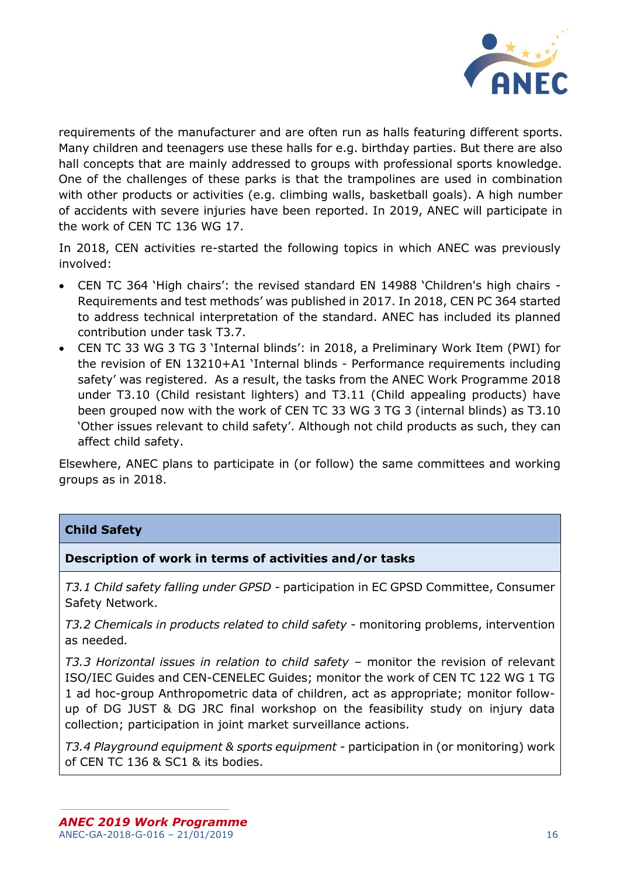

requirements of the manufacturer and are often run as halls featuring different sports. Many children and teenagers use these halls for e.g. birthday parties. But there are also hall concepts that are mainly addressed to groups with professional sports knowledge. One of the challenges of these parks is that the trampolines are used in combination with other products or activities (e.g. climbing walls, basketball goals). A high number of accidents with severe injuries have been reported. In 2019, ANEC will participate in the work of CEN TC 136 WG 17.

In 2018, CEN activities re-started the following topics in which ANEC was previously involved:

- CEN TC 364 'High chairs': the revised standard EN 14988 'Children's high chairs Requirements and test methods' was published in 2017. In 2018, CEN PC 364 started to address technical interpretation of the standard. ANEC has included its planned contribution under task T3.7.
- CEN TC 33 WG 3 TG 3 'Internal blinds': in 2018, a Preliminary Work Item (PWI) for the revision of EN 13210+A1 'Internal blinds - Performance requirements including safety' was registered. As a result, the tasks from the ANEC Work Programme 2018 under T3.10 (Child resistant lighters) and T3.11 (Child appealing products) have been grouped now with the work of CEN TC 33 WG 3 TG 3 (internal blinds) as T3.10 'Other issues relevant to child safety'. Although not child products as such, they can affect child safety.

Elsewhere, ANEC plans to participate in (or follow) the same committees and working groups as in 2018.

# **Child Safety**

# **Description of work in terms of activities and/or tasks**

*T3.1 Child safety falling under GPSD -* participation in EC GPSD Committee, Consumer Safety Network.

*T3.2 Chemicals in products related to child safety -* monitoring problems, intervention as needed*.*

*T3.3 Horizontal issues in relation to child safety –* monitor the revision of relevant ISO/IEC Guides and CEN-CENELEC Guides; monitor the work of CEN TC 122 WG 1 TG 1 ad hoc-group Anthropometric data of children, act as appropriate; monitor followup of DG JUST & DG JRC final workshop on the feasibility study on injury data collection; participation in joint market surveillance actions.

*T3.4 Playground equipment & sports equipment -* participation in (or monitoring) work of CEN TC 136 & SC1 & its bodies.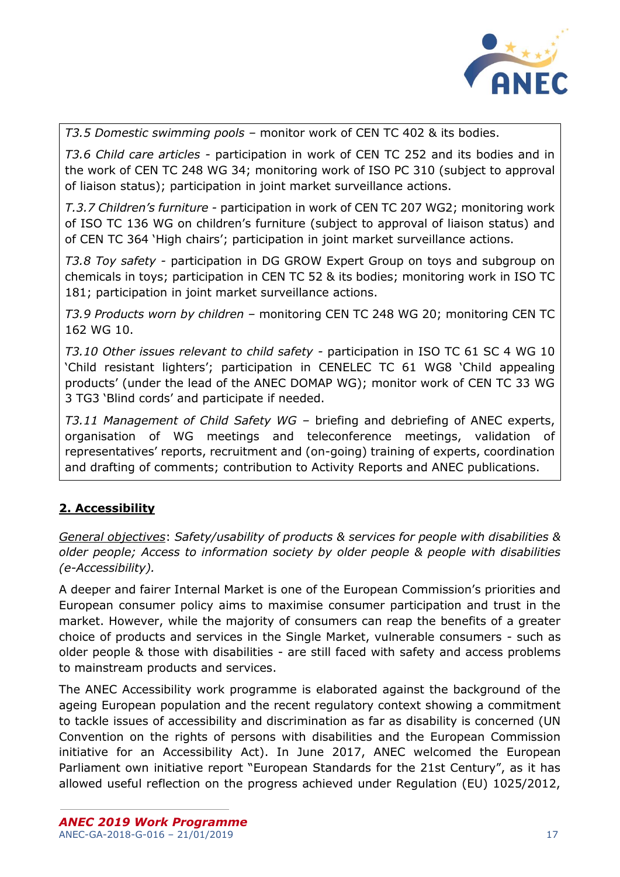

*T3.5 Domestic swimming pools –* monitor work of CEN TC 402 & its bodies.

*T3.6 Child care articles -* participation in work of CEN TC 252 and its bodies and in the work of CEN TC 248 WG 34; monitoring work of ISO PC 310 (subject to approval of liaison status); participation in joint market surveillance actions.

*T.3.7 Children's furniture -* participation in work of CEN TC 207 WG2; monitoring work of ISO TC 136 WG on children's furniture (subject to approval of liaison status) and of CEN TC 364 'High chairs'; participation in joint market surveillance actions.

*T3.8 Toy safety -* participation in DG GROW Expert Group on toys and subgroup on chemicals in toys; participation in CEN TC 52 & its bodies; monitoring work in ISO TC 181; participation in joint market surveillance actions.

*T3.9 Products worn by children –* monitoring CEN TC 248 WG 20; monitoring CEN TC 162 WG 10.

*T3.10 Other issues relevant to child safety -* participation in ISO TC 61 SC 4 WG 10 'Child resistant lighters'; participation in CENELEC TC 61 WG8 'Child appealing products' (under the lead of the ANEC DOMAP WG); monitor work of CEN TC 33 WG 3 TG3 'Blind cords' and participate if needed.

*T3.11 Management of Child Safety WG –* briefing and debriefing of ANEC experts, organisation of WG meetings and teleconference meetings, validation of representatives' reports, recruitment and (on-going) training of experts, coordination and drafting of comments; contribution to Activity Reports and ANEC publications.

# <span id="page-16-0"></span>**2. Accessibility**

*General objectives*: *Safety/usability of products & services for people with disabilities & older people; Access to information society by older people & people with disabilities (e-Accessibility).*

A deeper and fairer Internal Market is one of the European Commission's priorities and European consumer policy aims to maximise consumer participation and trust in the market. However, while the majority of consumers can reap the benefits of a greater choice of products and services in the Single Market, vulnerable consumers - such as older people & those with disabilities - are still faced with safety and access problems to mainstream products and services.

The ANEC Accessibility work programme is elaborated against the background of the ageing European population and the recent regulatory context showing a commitment to tackle issues of accessibility and discrimination as far as disability is concerned (UN Convention on the rights of persons with disabilities and the European Commission initiative for an Accessibility Act). In June 2017, ANEC welcomed the European Parliament own initiative report "European Standards for the 21st Century", as it has allowed useful reflection on the progress achieved under Regulation (EU) 1025/2012,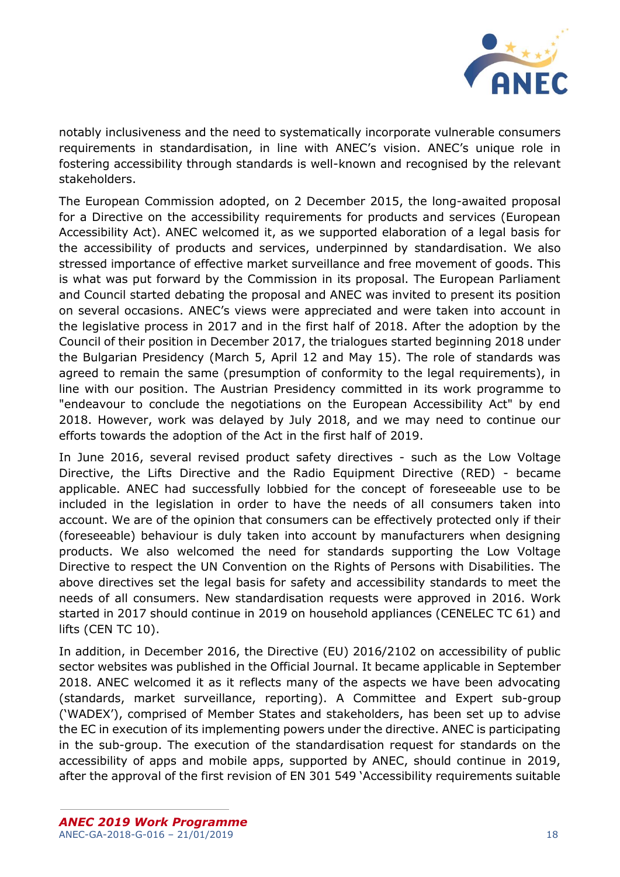

notably inclusiveness and the need to systematically incorporate vulnerable consumers requirements in standardisation, in line with ANEC's vision. ANEC's unique role in fostering accessibility through standards is well-known and recognised by the relevant stakeholders.

The European Commission adopted, on 2 December 2015, the long-awaited proposal for a Directive on the accessibility requirements for products and services (European Accessibility Act). ANEC welcomed it, as we supported elaboration of a legal basis for the accessibility of products and services, underpinned by standardisation. We also stressed importance of effective market surveillance and free movement of goods. This is what was put forward by the Commission in its proposal. The European Parliament and Council started debating the proposal and ANEC was invited to present its position on several occasions. ANEC's views were appreciated and were taken into account in the legislative process in 2017 and in the first half of 2018. After the adoption by the Council of their position in December 2017, the trialogues started beginning 2018 under the Bulgarian Presidency (March 5, April 12 and May 15). The role of standards was agreed to remain the same (presumption of conformity to the legal requirements), in line with our position. The Austrian Presidency committed in its work programme to "endeavour to conclude the negotiations on the European Accessibility Act" by end 2018. However, work was delayed by July 2018, and we may need to continue our efforts towards the adoption of the Act in the first half of 2019.

In June 2016, several revised product safety directives - such as the Low Voltage Directive, the Lifts Directive and the Radio Equipment Directive (RED) - became applicable. ANEC had successfully lobbied for the concept of foreseeable use to be included in the legislation in order to have the needs of all consumers taken into account. We are of the opinion that consumers can be effectively protected only if their (foreseeable) behaviour is duly taken into account by manufacturers when designing products. We also welcomed the need for standards supporting the Low Voltage Directive to respect the UN Convention on the Rights of Persons with Disabilities. The above directives set the legal basis for safety and accessibility standards to meet the needs of all consumers. New standardisation requests were approved in 2016. Work started in 2017 should continue in 2019 on household appliances (CENELEC TC 61) and lifts (CEN TC 10).

In addition, in December 2016, the Directive (EU) 2016/2102 on accessibility of public sector websites was published in the Official Journal. It became applicable in September 2018. ANEC welcomed it as it reflects many of the aspects we have been advocating (standards, market surveillance, reporting). A Committee and Expert sub-group ('WADEX'), comprised of Member States and stakeholders, has been set up to advise the EC in execution of its implementing powers under the directive. ANEC is participating in the sub-group. The execution of the standardisation request for standards on the accessibility of apps and mobile apps, supported by ANEC, should continue in 2019, after the approval of the first revision of EN 301 549 'Accessibility requirements suitable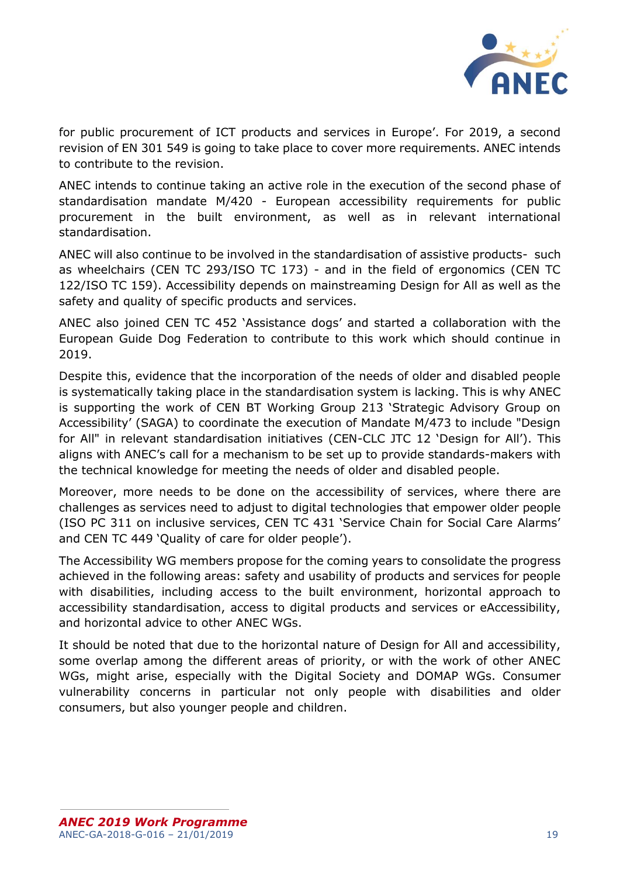

for public procurement of ICT products and services in Europe'. For 2019, a second revision of EN 301 549 is going to take place to cover more requirements. ANEC intends to contribute to the revision.

ANEC intends to continue taking an active role in the execution of the second phase of standardisation mandate M/420 - European accessibility requirements for public procurement in the built environment, as well as in relevant international standardisation.

ANEC will also continue to be involved in the standardisation of assistive products- such as wheelchairs (CEN TC 293/ISO TC 173) - and in the field of ergonomics (CEN TC 122/ISO TC 159). Accessibility depends on mainstreaming Design for All as well as the safety and quality of specific products and services.

ANEC also joined CEN TC 452 'Assistance dogs' and started a collaboration with the European Guide Dog Federation to contribute to this work which should continue in 2019.

Despite this, evidence that the incorporation of the needs of older and disabled people is systematically taking place in the standardisation system is lacking. This is why ANEC is supporting the work of CEN BT Working Group 213 'Strategic Advisory Group on Accessibility' (SAGA) to coordinate the execution of Mandate M/473 to include "Design for All" in relevant standardisation initiatives (CEN-CLC JTC 12 'Design for All'). This aligns with ANEC's call for a mechanism to be set up to provide standards-makers with the technical knowledge for meeting the needs of older and disabled people.

Moreover, more needs to be done on the accessibility of services, where there are challenges as services need to adjust to digital technologies that empower older people (ISO PC 311 on inclusive services, CEN TC 431 'Service Chain for Social Care Alarms' and CEN TC 449 'Quality of care for older people').

The Accessibility WG members propose for the coming years to consolidate the progress achieved in the following areas: safety and usability of products and services for people with disabilities, including access to the built environment, horizontal approach to accessibility standardisation, access to digital products and services or eAccessibility, and horizontal advice to other ANEC WGs.

It should be noted that due to the horizontal nature of Design for All and accessibility, some overlap among the different areas of priority, or with the work of other ANEC WGs, might arise, especially with the Digital Society and DOMAP WGs. Consumer vulnerability concerns in particular not only people with disabilities and older consumers, but also younger people and children.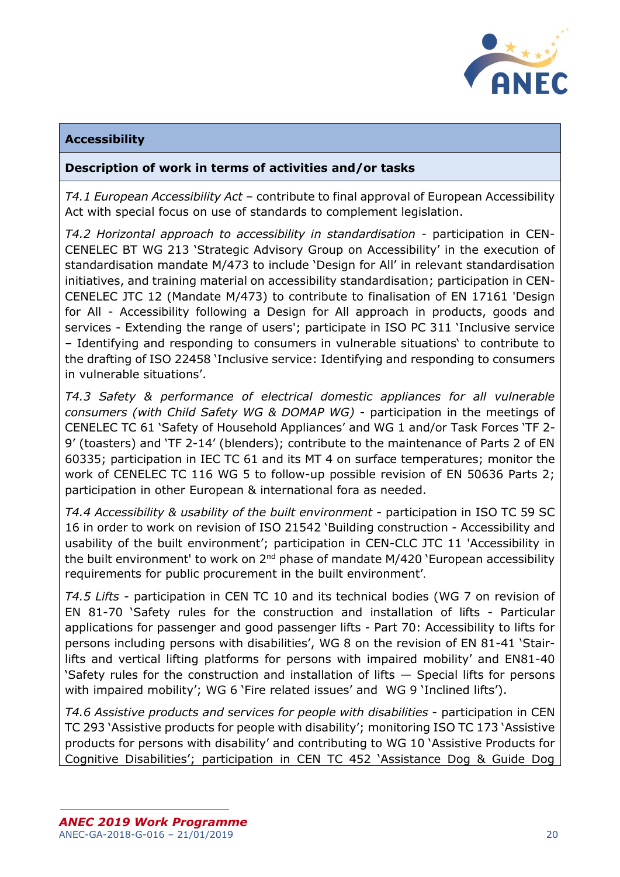

# **Accessibility**

## **Description of work in terms of activities and/or tasks**

*T4.1 European Accessibility Act* – contribute to final approval of European Accessibility Act with special focus on use of standards to complement legislation.

*T4.2 Horizontal approach to accessibility in standardisation* - participation in CEN-CENELEC BT WG 213 'Strategic Advisory Group on Accessibility' in the execution of standardisation mandate M/473 to include 'Design for All' in relevant standardisation initiatives, and training material on accessibility standardisation; participation in CEN-CENELEC JTC 12 (Mandate M/473) to contribute to finalisation of EN 17161 'Design for All - Accessibility following a Design for All approach in products, goods and services - Extending the range of users'; participate in ISO PC 311 'Inclusive service – Identifying and responding to consumers in vulnerable situations' to contribute to the drafting of ISO 22458 'Inclusive service: Identifying and responding to consumers in vulnerable situations'.

*T4.3 Safety & performance of electrical domestic appliances for all vulnerable consumers (with Child Safety WG & DOMAP WG)* - participation in the meetings of CENELEC TC 61 'Safety of Household Appliances' and WG 1 and/or Task Forces 'TF 2- 9' (toasters) and 'TF 2-14' (blenders); contribute to the maintenance of Parts 2 of EN 60335; participation in IEC TC 61 and its MT 4 on surface temperatures; monitor the work of CENELEC TC 116 WG 5 to follow-up possible revision of EN 50636 Parts 2; participation in other European & international fora as needed.

*T4.4 Accessibility & usability of the built environment* - participation in ISO TC 59 SC 16 in order to work on revision of ISO 21542 'Building construction - Accessibility and usability of the built environment'; participation in CEN-CLC JTC 11 'Accessibility in the built environment' to work on 2<sup>nd</sup> phase of mandate M/420 'European accessibility requirements for public procurement in the built environment'.

*T4.5 Lifts* - participation in CEN TC 10 and its technical bodies (WG 7 on revision of EN 81-70 'Safety rules for the construction and installation of lifts - Particular applications for passenger and good passenger lifts - Part 70: Accessibility to lifts for persons including persons with disabilities', WG 8 on the revision of EN 81-41 'Stairlifts and vertical lifting platforms for persons with impaired mobility' and EN81-40 'Safety rules for the construction and installation of lifts — Special lifts for persons with impaired mobility'; WG 6 'Fire related issues' and WG 9 'Inclined lifts').

*T4.6 Assistive products and services for people with disabilities* - participation in CEN TC 293 'Assistive products for people with disability'; monitoring ISO TC 173 'Assistive products for persons with disability' and contributing to WG 10 'Assistive Products for Cognitive Disabilities'; participation in CEN TC 452 'Assistance Dog & Guide Dog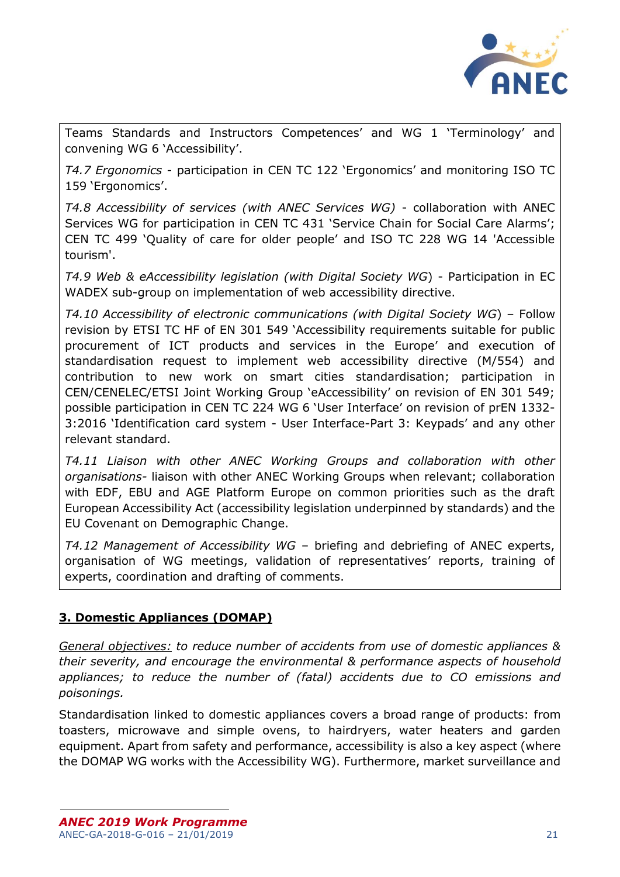

Teams Standards and Instructors Competences' and WG 1 'Terminology' and convening WG 6 'Accessibility'.

*T4.7 Ergonomics* - participation in CEN TC 122 'Ergonomics' and monitoring ISO TC 159 'Ergonomics'.

*T4.8 Accessibility of services (with ANEC Services WG)* - collaboration with ANEC Services WG for participation in CEN TC 431 'Service Chain for Social Care Alarms'; CEN TC 499 'Quality of care for older people' and ISO TC 228 WG 14 'Accessible tourism'.

*T4.9 Web & eAccessibility legislation (with Digital Society WG*) - Participation in EC WADEX sub-group on implementation of web accessibility directive.

*T4.10 Accessibility of electronic communications (with Digital Society WG*) – Follow revision by ETSI TC HF of EN 301 549 'Accessibility requirements suitable for public procurement of ICT products and services in the Europe' and execution of standardisation request to implement web accessibility directive (M/554) and contribution to new work on smart cities standardisation; participation in CEN/CENELEC/ETSI Joint Working Group 'eAccessibility' on revision of EN 301 549; possible participation in CEN TC 224 WG 6 'User Interface' on revision of prEN 1332- 3:2016 'Identification card system - User Interface-Part 3: Keypads' and any other relevant standard.

*T4.11 Liaison with other ANEC Working Groups and collaboration with other organisations-* liaison with other ANEC Working Groups when relevant; collaboration with EDF, EBU and AGE Platform Europe on common priorities such as the draft European Accessibility Act (accessibility legislation underpinned by standards) and the EU Covenant on Demographic Change.

*T4.12 Management of Accessibility WG* – briefing and debriefing of ANEC experts, organisation of WG meetings, validation of representatives' reports, training of experts, coordination and drafting of comments.

# <span id="page-20-0"></span>**3. Domestic Appliances (DOMAP)**

*General objectives: to reduce number of accidents from use of domestic appliances & their severity, and encourage the environmental & performance aspects of household appliances; to reduce the number of (fatal) accidents due to CO emissions and poisonings.*

Standardisation linked to domestic appliances covers a broad range of products: from toasters, microwave and simple ovens, to hairdryers, water heaters and garden equipment. Apart from safety and performance, accessibility is also a key aspect (where the DOMAP WG works with the Accessibility WG). Furthermore, market surveillance and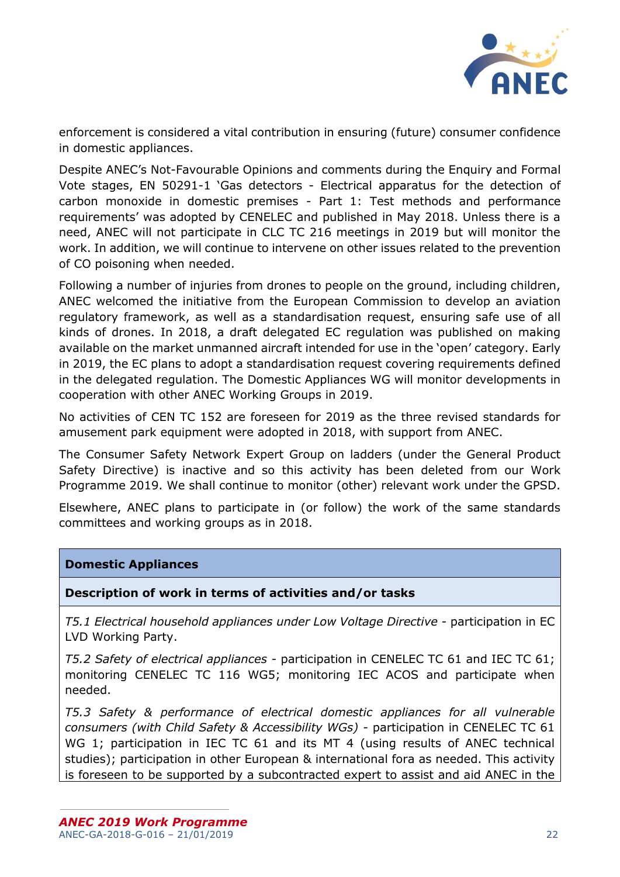

enforcement is considered a vital contribution in ensuring (future) consumer confidence in domestic appliances.

Despite ANEC's Not-Favourable Opinions and comments during the Enquiry and Formal Vote stages, EN 50291-1 'Gas detectors - Electrical apparatus for the detection of carbon monoxide in domestic premises - Part 1: Test methods and performance requirements' was adopted by CENELEC and published in May 2018. Unless there is a need, ANEC will not participate in CLC TC 216 meetings in 2019 but will monitor the work. In addition, we will continue to intervene on other issues related to the prevention of CO poisoning when needed.

Following a number of injuries from drones to people on the ground, including children, ANEC welcomed the initiative from the European Commission to develop an aviation regulatory framework, as well as a standardisation request, ensuring safe use of all kinds of drones. In 2018, a draft delegated EC regulation was published on making available on the market unmanned aircraft intended for use in the 'open' category. Early in 2019, the EC plans to adopt a standardisation request covering requirements defined in the delegated regulation. The Domestic Appliances WG will monitor developments in cooperation with other ANEC Working Groups in 2019.

No activities of CEN TC 152 are foreseen for 2019 as the three revised standards for amusement park equipment were adopted in 2018, with support from ANEC.

The Consumer Safety Network Expert Group on ladders (under the General Product Safety Directive) is inactive and so this activity has been deleted from our Work Programme 2019. We shall continue to monitor (other) relevant work under the GPSD.

Elsewhere, ANEC plans to participate in (or follow) the work of the same standards committees and working groups as in 2018.

### **Domestic Appliances**

### **Description of work in terms of activities and/or tasks**

*T5.1 Electrical household appliances under Low Voltage Directive -* participation in EC LVD Working Party.

*T5.2 Safety of electrical appliances -* participation in CENELEC TC 61 and IEC TC 61; monitoring CENELEC TC 116 WG5; monitoring IEC ACOS and participate when needed.

*T5.3 Safety & performance of electrical domestic appliances for all vulnerable consumers (with Child Safety & Accessibility WGs) -* participation in CENELEC TC 61 WG 1; participation in IEC TC 61 and its MT 4 (using results of ANEC technical studies); participation in other European & international fora as needed. This activity is foreseen to be supported by a subcontracted expert to assist and aid ANEC in the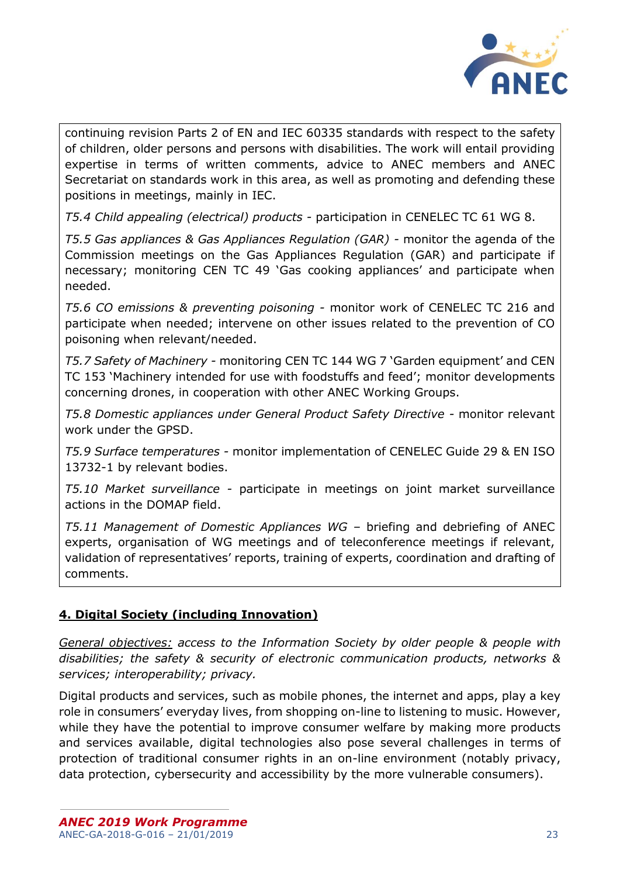

continuing revision Parts 2 of EN and IEC 60335 standards with respect to the safety of children, older persons and persons with disabilities. The work will entail providing expertise in terms of written comments, advice to ANEC members and ANEC Secretariat on standards work in this area, as well as promoting and defending these positions in meetings, mainly in IEC.

*T5.4 Child appealing (electrical) products -* participation in CENELEC TC 61 WG 8.

*T5.5 Gas appliances & Gas Appliances Regulation (GAR) -* monitor the agenda of the Commission meetings on the Gas Appliances Regulation (GAR) and participate if necessary; monitoring CEN TC 49 'Gas cooking appliances' and participate when needed.

*T5.6 CO emissions & preventing poisoning -* monitor work of CENELEC TC 216 and participate when needed; intervene on other issues related to the prevention of CO poisoning when relevant/needed.

*T5.7 Safety of Machinery -* monitoring CEN TC 144 WG 7 'Garden equipment' and CEN TC 153 'Machinery intended for use with foodstuffs and feed'; monitor developments concerning drones, in cooperation with other ANEC Working Groups.

*T5.8 Domestic appliances under General Product Safety Directive -* monitor relevant work under the GPSD.

*T5.9 Surface temperatures -* monitor implementation of CENELEC Guide 29 & EN ISO 13732-1 by relevant bodies.

*T5.10 Market surveillance -* participate in meetings on joint market surveillance actions in the DOMAP field.

*T5.11 Management of Domestic Appliances WG –* briefing and debriefing of ANEC experts, organisation of WG meetings and of teleconference meetings if relevant, validation of representatives' reports, training of experts, coordination and drafting of comments.

# <span id="page-22-0"></span>**4. Digital Society (including Innovation)**

*General objectives: access to the Information Society by older people & people with disabilities; the safety & security of electronic communication products, networks & services; interoperability; privacy.*

Digital products and services, such as mobile phones, the internet and apps, play a key role in consumers' everyday lives, from shopping on-line to listening to music. However, while they have the potential to improve consumer welfare by making more products and services available, digital technologies also pose several challenges in terms of protection of traditional consumer rights in an on-line environment (notably privacy, data protection, cybersecurity and accessibility by the more vulnerable consumers).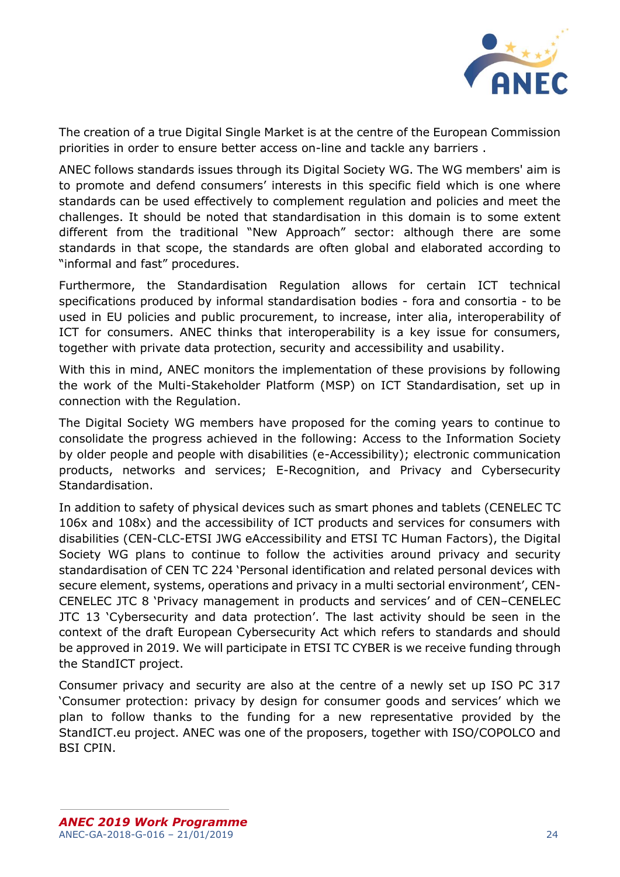

The creation of a true Digital Single Market is at the centre of the European Commission priorities in order to ensure better access on-line and tackle any barriers .

ANEC follows standards issues through its Digital Society WG. The WG members' aim is to promote and defend consumers' interests in this specific field which is one where standards can be used effectively to complement regulation and policies and meet the challenges. It should be noted that standardisation in this domain is to some extent different from the traditional "New Approach" sector: although there are some standards in that scope, the standards are often global and elaborated according to "informal and fast" procedures.

Furthermore, the Standardisation Regulation allows for certain ICT technical specifications produced by informal standardisation bodies - fora and consortia - to be used in EU policies and public procurement, to increase, inter alia, interoperability of ICT for consumers. ANEC thinks that interoperability is a key issue for consumers, together with private data protection, security and accessibility and usability.

With this in mind, ANEC monitors the implementation of these provisions by following the work of the Multi-Stakeholder Platform (MSP) on ICT Standardisation, set up in connection with the Regulation.

The Digital Society WG members have proposed for the coming years to continue to consolidate the progress achieved in the following: Access to the Information Society by older people and people with disabilities (e-Accessibility); electronic communication products, networks and services; E-Recognition, and Privacy and Cybersecurity Standardisation.

In addition to safety of physical devices such as smart phones and tablets (CENELEC TC 106x and 108x) and the accessibility of ICT products and services for consumers with disabilities (CEN-CLC-ETSI JWG eAccessibility and ETSI TC Human Factors), the Digital Society WG plans to continue to follow the activities around privacy and security standardisation of CEN TC 224 'Personal identification and related personal devices with secure element, systems, operations and privacy in a multi sectorial environment', CEN-CENELEC JTC 8 'Privacy management in products and services' and of CEN–CENELEC JTC 13 'Cybersecurity and data protection'. The last activity should be seen in the context of the draft European Cybersecurity Act which refers to standards and should be approved in 2019. We will participate in ETSI TC CYBER is we receive funding through the StandICT project.

Consumer privacy and security are also at the centre of a newly set up ISO PC 317 'Consumer protection: privacy by design for consumer goods and services' which we plan to follow thanks to the funding for a new representative provided by the StandICT.eu project. ANEC was one of the proposers, together with ISO/COPOLCO and BSI CPIN.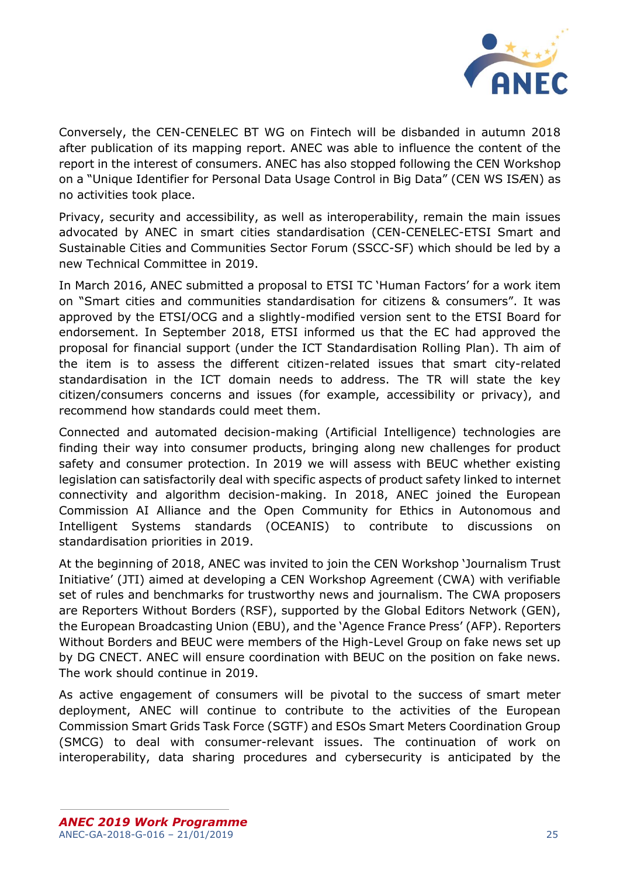

Conversely, the CEN-CENELEC BT WG on Fintech will be disbanded in autumn 2018 after publication of its mapping report. ANEC was able to influence the content of the report in the interest of consumers. ANEC has also stopped following the CEN Workshop on a "Unique Identifier for Personal Data Usage Control in Big Data" (CEN WS ISÆN) as no activities took place.

Privacy, security and accessibility, as well as interoperability, remain the main issues advocated by ANEC in smart cities standardisation (CEN-CENELEC-ETSI Smart and Sustainable Cities and Communities Sector Forum (SSCC-SF) which should be led by a new Technical Committee in 2019.

In March 2016, ANEC submitted a proposal to ETSI TC 'Human Factors' for a work item on "Smart cities and communities standardisation for citizens & consumers". It was approved by the ETSI/OCG and a slightly-modified version sent to the ETSI Board for endorsement. In September 2018, ETSI informed us that the EC had approved the proposal for financial support (under the ICT Standardisation Rolling Plan). Th aim of the item is to assess the different citizen-related issues that smart city-related standardisation in the ICT domain needs to address. The TR will state the key citizen/consumers concerns and issues (for example, accessibility or privacy), and recommend how standards could meet them.

Connected and automated decision-making (Artificial Intelligence) technologies are finding their way into consumer products, bringing along new challenges for product safety and consumer protection. In 2019 we will assess with BEUC whether existing legislation can satisfactorily deal with specific aspects of product safety linked to internet connectivity and algorithm decision-making. In 2018, ANEC joined the European Commission AI Alliance and the Open Community for Ethics in Autonomous and Intelligent Systems standards (OCEANIS) to contribute to discussions on standardisation priorities in 2019.

At the beginning of 2018, ANEC was invited to join the CEN Workshop 'Journalism Trust Initiative' (JTI) aimed at developing a CEN Workshop Agreement (CWA) with verifiable set of rules and benchmarks for trustworthy news and journalism. The CWA proposers are Reporters Without Borders (RSF), supported by the Global Editors Network (GEN), the European Broadcasting Union (EBU), and the 'Agence France Press' (AFP). Reporters Without Borders and BEUC were members of the High-Level Group on fake news set up by DG CNECT. ANEC will ensure coordination with BEUC on the position on fake news. The work should continue in 2019.

As active engagement of consumers will be pivotal to the success of smart meter deployment, ANEC will continue to contribute to the activities of the European Commission Smart Grids Task Force (SGTF) and ESOs Smart Meters Coordination Group (SMCG) to deal with consumer-relevant issues. The continuation of work on interoperability, data sharing procedures and cybersecurity is anticipated by the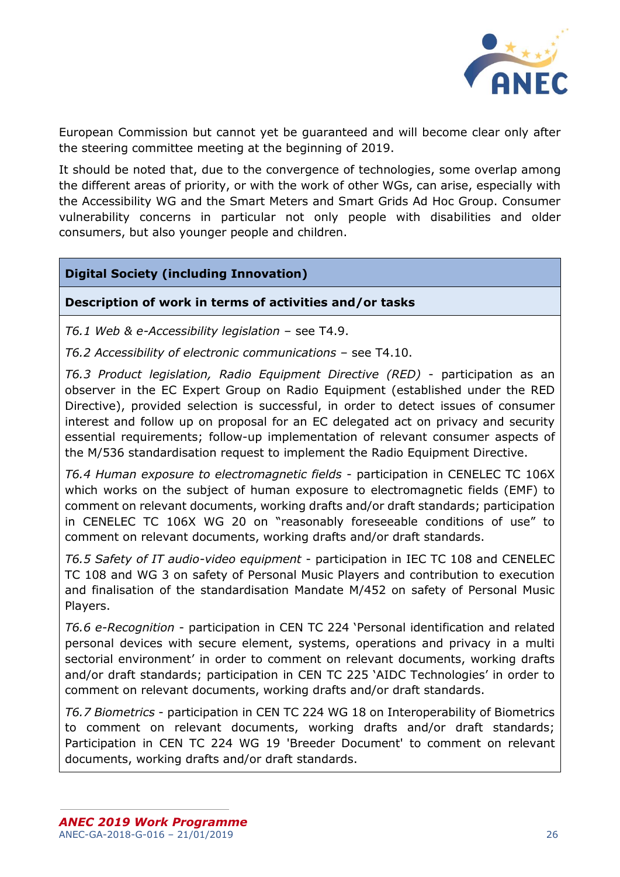

European Commission but cannot yet be guaranteed and will become clear only after the steering committee meeting at the beginning of 2019.

It should be noted that, due to the convergence of technologies, some overlap among the different areas of priority, or with the work of other WGs, can arise, especially with the Accessibility WG and the Smart Meters and Smart Grids Ad Hoc Group. Consumer vulnerability concerns in particular not only people with disabilities and older consumers, but also younger people and children.

# **Digital Society (including Innovation)**

### **Description of work in terms of activities and/or tasks**

*T6.1 Web & e-Accessibility legislation* – see T4.9.

*T6.2 Accessibility of electronic communications* – see T4.10.

*T6.3 Product legislation, Radio Equipment Directive (RED)* - participation as an observer in the EC Expert Group on Radio Equipment (established under the RED Directive), provided selection is successful, in order to detect issues of consumer interest and follow up on proposal for an EC delegated act on privacy and security essential requirements; follow-up implementation of relevant consumer aspects of the M/536 standardisation request to implement the Radio Equipment Directive.

*T6.4 Human exposure to electromagnetic fields* - participation in CENELEC TC 106X which works on the subject of human exposure to electromagnetic fields (EMF) to comment on relevant documents, working drafts and/or draft standards; participation in CENELEC TC 106X WG 20 on "reasonably foreseeable conditions of use" to comment on relevant documents, working drafts and/or draft standards.

*T6.5 Safety of IT audio-video equipment* - participation in IEC TC 108 and CENELEC TC 108 and WG 3 on safety of Personal Music Players and contribution to execution and finalisation of the standardisation Mandate M/452 on safety of Personal Music Players.

*T6.6 e-Recognition* - participation in CEN TC 224 'Personal identification and related personal devices with secure element, systems, operations and privacy in a multi sectorial environment' in order to comment on relevant documents, working drafts and/or draft standards; participation in CEN TC 225 'AIDC Technologies' in order to comment on relevant documents, working drafts and/or draft standards.

*T6.7 Biometrics* - participation in CEN TC 224 WG 18 on Interoperability of Biometrics to comment on relevant documents, working drafts and/or draft standards; Participation in CEN TC 224 WG 19 'Breeder Document' to comment on relevant documents, working drafts and/or draft standards.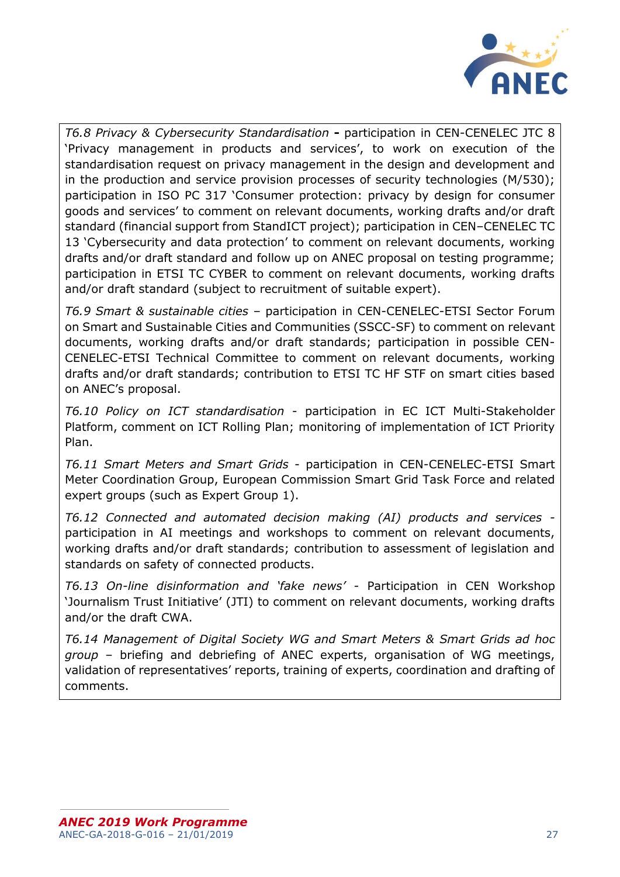

*T6.8 Privacy & Cybersecurity Standardisation* **-** participation in CEN-CENELEC JTC 8 'Privacy management in products and services', to work on execution of the standardisation request on privacy management in the design and development and in the production and service provision processes of security technologies (M/530); participation in ISO PC 317 'Consumer protection: privacy by design for consumer goods and services' to comment on relevant documents, working drafts and/or draft standard (financial support from StandICT project); participation in CEN–CENELEC TC 13 'Cybersecurity and data protection' to comment on relevant documents, working drafts and/or draft standard and follow up on ANEC proposal on testing programme; participation in ETSI TC CYBER to comment on relevant documents, working drafts and/or draft standard (subject to recruitment of suitable expert).

*T6.9 Smart & sustainable cities* – participation in CEN-CENELEC-ETSI Sector Forum on Smart and Sustainable Cities and Communities (SSCC-SF) to comment on relevant documents, working drafts and/or draft standards; participation in possible CEN-CENELEC-ETSI Technical Committee to comment on relevant documents, working drafts and/or draft standards; contribution to ETSI TC HF STF on smart cities based on ANEC's proposal.

*T6.10 Policy on ICT standardisation* - participation in EC ICT Multi-Stakeholder Platform, comment on ICT Rolling Plan; monitoring of implementation of ICT Priority Plan.

*T6.11 Smart Meters and Smart Grids* - participation in CEN-CENELEC-ETSI Smart Meter Coordination Group, European Commission Smart Grid Task Force and related expert groups (such as Expert Group 1).

*T6.12 Connected and automated decision making (AI) products and services*  participation in AI meetings and workshops to comment on relevant documents, working drafts and/or draft standards; contribution to assessment of legislation and standards on safety of connected products.

*T6.13 On-line disinformation and 'fake news' -* Participation in CEN Workshop 'Journalism Trust Initiative' (JTI) to comment on relevant documents, working drafts and/or the draft CWA.

*T6.14 Management of Digital Society WG and Smart Meters & Smart Grids ad hoc group* – briefing and debriefing of ANEC experts, organisation of WG meetings, validation of representatives' reports, training of experts, coordination and drafting of comments.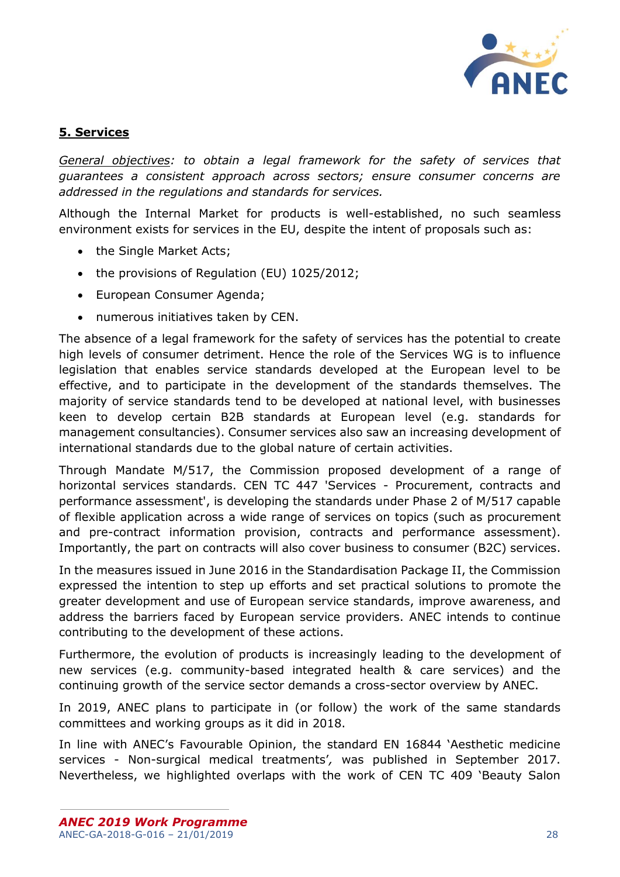

# <span id="page-27-0"></span>**5. Services**

*General objectives: to obtain a legal framework for the safety of services that guarantees a consistent approach across sectors; ensure consumer concerns are addressed in the regulations and standards for services.*

Although the Internal Market for products is well-established, no such seamless environment exists for services in the EU, despite the intent of proposals such as:

- the Single Market Acts;
- the provisions of Regulation (EU) 1025/2012;
- European Consumer Agenda;
- numerous initiatives taken by CEN.

The absence of a legal framework for the safety of services has the potential to create high levels of consumer detriment. Hence the role of the Services WG is to influence legislation that enables service standards developed at the European level to be effective, and to participate in the development of the standards themselves. The majority of service standards tend to be developed at national level, with businesses keen to develop certain B2B standards at European level (e.g. standards for management consultancies). Consumer services also saw an increasing development of international standards due to the global nature of certain activities.

Through Mandate M/517, the Commission proposed development of a range of horizontal services standards. CEN TC 447 'Services - Procurement, contracts and performance assessment', is developing the standards under Phase 2 of M/517 capable of flexible application across a wide range of services on topics (such as procurement and pre-contract information provision, contracts and performance assessment). Importantly, the part on contracts will also cover business to consumer (B2C) services.

In the measures issued in June 2016 in the Standardisation Package II, the Commission expressed the intention to step up efforts and set practical solutions to promote the greater development and use of European service standards, improve awareness, and address the barriers faced by European service providers. ANEC intends to continue contributing to the development of these actions.

Furthermore, the evolution of products is increasingly leading to the development of new services (e.g. community-based integrated health & care services) and the continuing growth of the service sector demands a cross-sector overview by ANEC.

In 2019, ANEC plans to participate in (or follow) the work of the same standards committees and working groups as it did in 2018.

In line with ANEC's Favourable Opinion, the standard EN 16844 'Aesthetic medicine services - Non-surgical medical treatments'*,* was published in September 2017. Nevertheless, we highlighted overlaps with the work of CEN TC 409 'Beauty Salon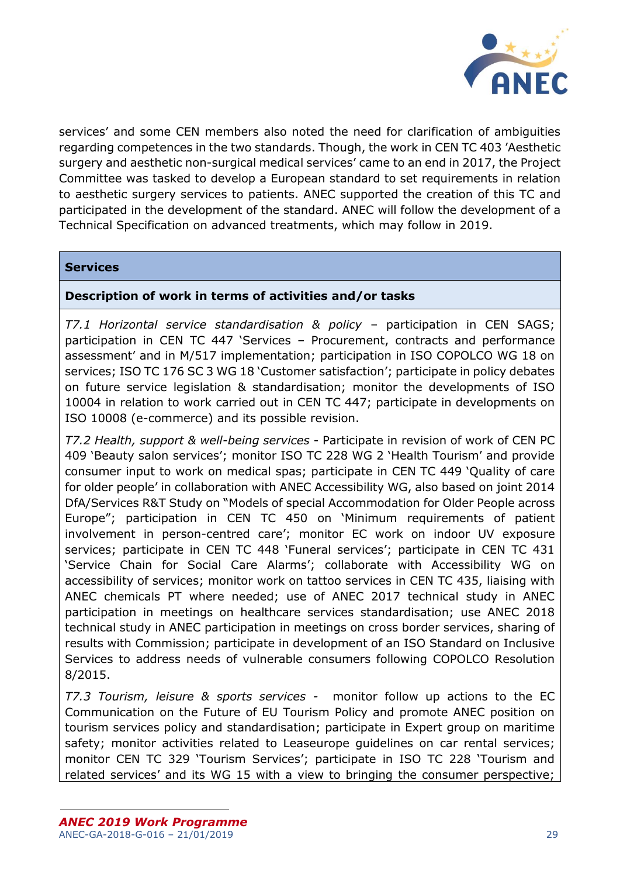

services' and some CEN members also noted the need for clarification of ambiguities regarding competences in the two standards. Though, the work in CEN TC 403 'Aesthetic surgery and aesthetic non-surgical medical services' came to an end in 2017, the Project Committee was tasked to develop a European standard to set requirements in relation to aesthetic surgery services to patients. ANEC supported the creation of this TC and participated in the development of the standard. ANEC will follow the development of a Technical Specification on advanced treatments, which may follow in 2019.

### **Services**

## **Description of work in terms of activities and/or tasks**

*T7.1 Horizontal service standardisation & policy* – participation in CEN SAGS; participation in CEN TC 447 'Services – Procurement, contracts and performance assessment' and in M/517 implementation; participation in ISO COPOLCO WG 18 on services; ISO TC 176 SC 3 WG 18 'Customer satisfaction'; participate in policy debates on future service legislation & standardisation; monitor the developments of ISO 10004 in relation to work carried out in CEN TC 447; participate in developments on ISO 10008 (e-commerce) and its possible revision.

*T7.2 Health, support & well-being services* - Participate in revision of work of CEN PC 409 'Beauty salon services'; monitor ISO TC 228 WG 2 'Health Tourism' and provide consumer input to work on medical spas; participate in CEN TC 449 'Quality of care for older people' in collaboration with ANEC Accessibility WG, also based on joint 2014 DfA/Services R&T Study on "Models of special Accommodation for Older People across Europe"; participation in CEN TC 450 on 'Minimum requirements of patient involvement in person-centred care'; monitor EC work on indoor UV exposure services; participate in CEN TC 448 'Funeral services'; participate in CEN TC 431 'Service Chain for Social Care Alarms'; collaborate with Accessibility WG on accessibility of services; monitor work on tattoo services in CEN TC 435, liaising with ANEC chemicals PT where needed; use of ANEC 2017 technical study in ANEC participation in meetings on healthcare services standardisation; use ANEC 2018 technical study in ANEC participation in meetings on cross border services, sharing of results with Commission; participate in development of an ISO Standard on Inclusive Services to address needs of vulnerable consumers following COPOLCO Resolution 8/2015.

*T7.3 Tourism, leisure & sports services -* monitor follow up actions to the EC Communication on the Future of EU Tourism Policy and promote ANEC position on tourism services policy and standardisation; participate in Expert group on maritime safety; monitor activities related to Leaseurope quidelines on car rental services; monitor CEN TC 329 'Tourism Services'; participate in ISO TC 228 'Tourism and related services' and its WG 15 with a view to bringing the consumer perspective;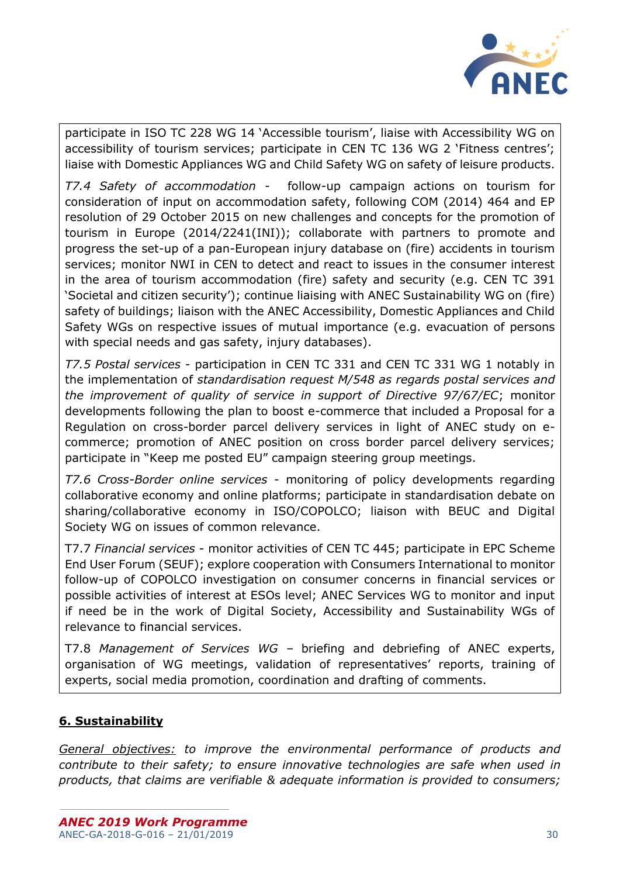

participate in ISO TC 228 WG 14 'Accessible tourism', liaise with Accessibility WG on accessibility of tourism services; participate in CEN TC 136 WG 2 'Fitness centres'; liaise with Domestic Appliances WG and Child Safety WG on safety of leisure products.

*T7.4 Safety of accommodation* - follow-up campaign actions on tourism for consideration of input on accommodation safety, following COM (2014) 464 and EP resolution of 29 October 2015 on new challenges and concepts for the promotion of tourism in Europe (2014/2241(INI)); collaborate with partners to promote and progress the set-up of a pan-European injury database on (fire) accidents in tourism services; monitor NWI in CEN to detect and react to issues in the consumer interest in the area of tourism accommodation (fire) safety and security (e.g. CEN TC 391 'Societal and citizen security'); continue liaising with ANEC Sustainability WG on (fire) safety of buildings; liaison with the ANEC Accessibility, Domestic Appliances and Child Safety WGs on respective issues of mutual importance (e.g. evacuation of persons with special needs and gas safety, injury databases).

*T7.5 Postal services* - participation in CEN TC 331 and CEN TC 331 WG 1 notably in the implementation of *standardisation request M/548 as regards postal services and the improvement of quality of service in support of Directive 97/67/EC*; monitor developments following the plan to boost e-commerce that included a Proposal for a Regulation on cross-border parcel delivery services in light of ANEC study on ecommerce; promotion of ANEC position on cross border parcel delivery services; participate in "Keep me posted EU" campaign steering group meetings.

*T7.6 Cross-Border online services -* monitoring of policy developments regarding collaborative economy and online platforms; participate in standardisation debate on sharing/collaborative economy in ISO/COPOLCO; liaison with BEUC and Digital Society WG on issues of common relevance.

T7.7 *Financial services* - monitor activities of CEN TC 445; participate in EPC Scheme End User Forum (SEUF); explore cooperation with Consumers International to monitor follow-up of COPOLCO investigation on consumer concerns in financial services or possible activities of interest at ESOs level; ANEC Services WG to monitor and input if need be in the work of Digital Society, Accessibility and Sustainability WGs of relevance to financial services.

T7.8 *Management of Services WG* – briefing and debriefing of ANEC experts, organisation of WG meetings, validation of representatives' reports, training of experts, social media promotion, coordination and drafting of comments.

# <span id="page-29-0"></span>**6. Sustainability**

*General objectives: to improve the environmental performance of products and contribute to their safety; to ensure innovative technologies are safe when used in products, that claims are verifiable & adequate information is provided to consumers;*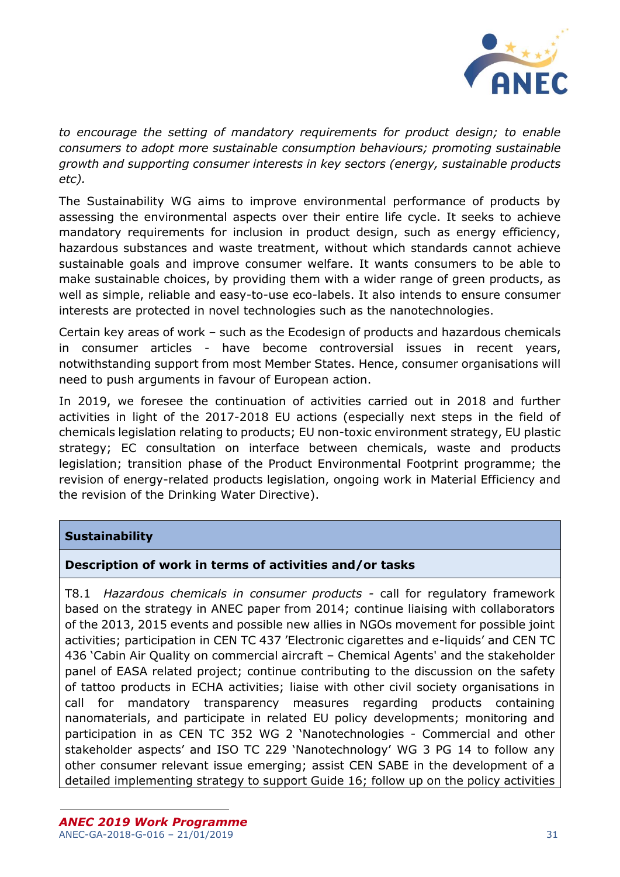

*to encourage the setting of mandatory requirements for product design; to enable consumers to adopt more sustainable consumption behaviours; promoting sustainable growth and supporting consumer interests in key sectors (energy, sustainable products etc).*

The Sustainability WG aims to improve environmental performance of products by assessing the environmental aspects over their entire life cycle. It seeks to achieve mandatory requirements for inclusion in product design, such as energy efficiency, hazardous substances and waste treatment, without which standards cannot achieve sustainable goals and improve consumer welfare. It wants consumers to be able to make sustainable choices, by providing them with a wider range of green products, as well as simple, reliable and easy-to-use eco-labels. It also intends to ensure consumer interests are protected in novel technologies such as the nanotechnologies.

Certain key areas of work – such as the Ecodesign of products and hazardous chemicals in consumer articles - have become controversial issues in recent years, notwithstanding support from most Member States. Hence, consumer organisations will need to push arguments in favour of European action.

In 2019, we foresee the continuation of activities carried out in 2018 and further activities in light of the 2017-2018 EU actions (especially next steps in the field of chemicals legislation relating to products; EU non-toxic environment strategy, EU plastic strategy; EC consultation on interface between chemicals, waste and products legislation; transition phase of the Product Environmental Footprint programme; the revision of energy-related products legislation, ongoing work in Material Efficiency and the revision of the Drinking Water Directive).

# **Sustainability**

# **Description of work in terms of activities and/or tasks**

T8.1 *Hazardous chemicals in consumer products -* call for regulatory framework based on the strategy in ANEC paper from 2014; continue liaising with collaborators of the 2013, 2015 events and possible new allies in NGOs movement for possible joint activities; participation in CEN TC 437 'Electronic cigarettes and e-liquids' and CEN TC 436 'Cabin Air Quality on commercial aircraft – Chemical Agents' and the stakeholder panel of EASA related project; continue contributing to the discussion on the safety of tattoo products in ECHA activities; liaise with other civil society organisations in call for mandatory transparency measures regarding products containing nanomaterials, and participate in related EU policy developments; monitoring and participation in as CEN TC 352 WG 2 'Nanotechnologies - Commercial and other stakeholder aspects' and ISO TC 229 'Nanotechnology' WG 3 PG 14 to follow any other consumer relevant issue emerging; assist CEN SABE in the development of a detailed implementing strategy to support Guide 16; follow up on the policy activities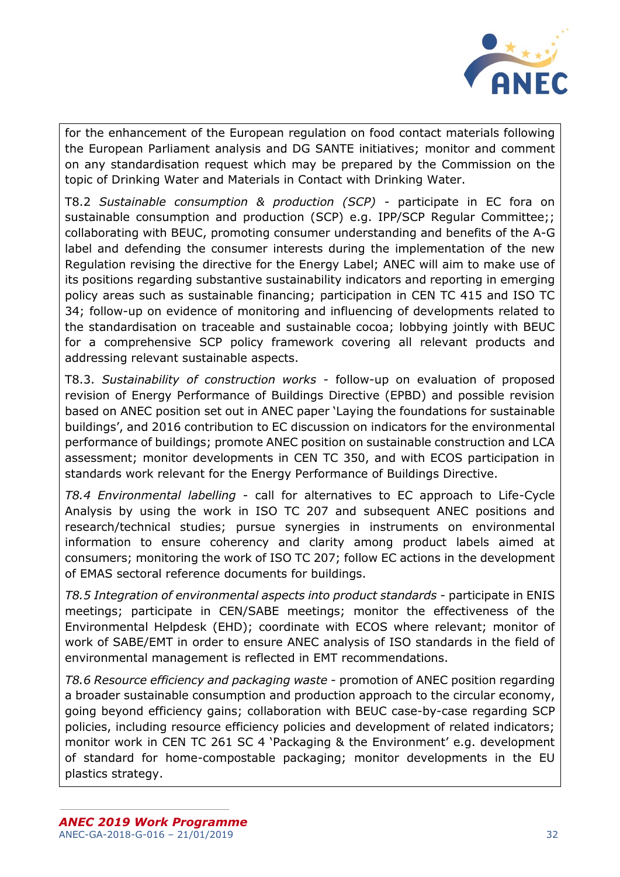

for the enhancement of the European regulation on food contact materials following the European Parliament analysis and DG SANTE initiatives; monitor and comment on any standardisation request which may be prepared by the Commission on the topic of Drinking Water and Materials in Contact with Drinking Water.

T8.2 *Sustainable consumption & production (SCP) -* participate in EC fora on sustainable consumption and production (SCP) e.g. IPP/SCP Regular Committee;; collaborating with BEUC, promoting consumer understanding and benefits of the A-G label and defending the consumer interests during the implementation of the new Regulation revising the directive for the Energy Label; ANEC will aim to make use of its positions regarding substantive sustainability indicators and reporting in emerging policy areas such as sustainable financing; participation in CEN TC 415 and ISO TC 34; follow-up on evidence of monitoring and influencing of developments related to the standardisation on traceable and sustainable cocoa; lobbying jointly with BEUC for a comprehensive SCP policy framework covering all relevant products and addressing relevant sustainable aspects.

T8.3. *Sustainability of construction works* - follow-up on evaluation of proposed revision of Energy Performance of Buildings Directive (EPBD) and possible revision based on ANEC position set out in ANEC paper 'Laying the foundations for sustainable buildings', and 2016 contribution to EC discussion on indicators for the environmental performance of buildings; promote ANEC position on sustainable construction and LCA assessment; monitor developments in CEN TC 350, and with ECOS participation in standards work relevant for the Energy Performance of Buildings Directive.

*T8.4 Environmental labelling* - call for alternatives to EC approach to Life-Cycle Analysis by using the work in ISO TC 207 and subsequent ANEC positions and research/technical studies; pursue synergies in instruments on environmental information to ensure coherency and clarity among product labels aimed at consumers; monitoring the work of ISO TC 207; follow EC actions in the development of EMAS sectoral reference documents for buildings.

*T8.5 Integration of environmental aspects into product standards* - participate in ENIS meetings; participate in CEN/SABE meetings; monitor the effectiveness of the Environmental Helpdesk (EHD); coordinate with ECOS where relevant; monitor of work of SABE/EMT in order to ensure ANEC analysis of ISO standards in the field of environmental management is reflected in EMT recommendations.

*T8.6 Resource efficiency and packaging waste* - promotion of ANEC position regarding a broader sustainable consumption and production approach to the circular economy, going beyond efficiency gains; collaboration with BEUC case-by-case regarding SCP policies, including resource efficiency policies and development of related indicators; monitor work in CEN TC 261 SC 4 'Packaging & the Environment' e.g. development of standard for home-compostable packaging; monitor developments in the EU plastics strategy.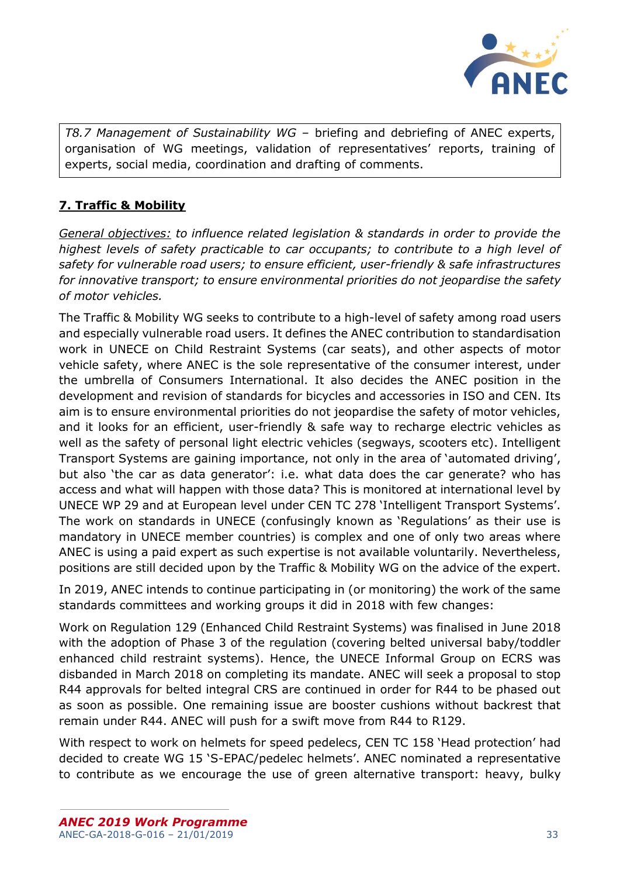

*T8.7 Management of Sustainability WG* – briefing and debriefing of ANEC experts, organisation of WG meetings, validation of representatives' reports, training of experts, social media, coordination and drafting of comments.

# <span id="page-32-0"></span>**7. Traffic & Mobility**

*General objectives: to influence related legislation & standards in order to provide the highest levels of safety practicable to car occupants; to contribute to a high level of safety for vulnerable road users; to ensure efficient, user-friendly & safe infrastructures for innovative transport; to ensure environmental priorities do not jeopardise the safety of motor vehicles.*

The Traffic & Mobility WG seeks to contribute to a high-level of safety among road users and especially vulnerable road users. It defines the ANEC contribution to standardisation work in UNECE on Child Restraint Systems (car seats), and other aspects of motor vehicle safety, where ANEC is the sole representative of the consumer interest, under the umbrella of Consumers International. It also decides the ANEC position in the development and revision of standards for bicycles and accessories in ISO and CEN. Its aim is to ensure environmental priorities do not jeopardise the safety of motor vehicles, and it looks for an efficient, user-friendly & safe way to recharge electric vehicles as well as the safety of personal light electric vehicles (segways, scooters etc). Intelligent Transport Systems are gaining importance, not only in the area of 'automated driving', but also 'the car as data generator': i.e. what data does the car generate? who has access and what will happen with those data? This is monitored at international level by UNECE WP 29 and at European level under CEN TC 278 'Intelligent Transport Systems'. The work on standards in UNECE (confusingly known as 'Regulations' as their use is mandatory in UNECE member countries) is complex and one of only two areas where ANEC is using a paid expert as such expertise is not available voluntarily. Nevertheless, positions are still decided upon by the Traffic & Mobility WG on the advice of the expert.

In 2019, ANEC intends to continue participating in (or monitoring) the work of the same standards committees and working groups it did in 2018 with few changes:

Work on Regulation 129 (Enhanced Child Restraint Systems) was finalised in June 2018 with the adoption of Phase 3 of the regulation (covering belted universal baby/toddler enhanced child restraint systems). Hence, the UNECE Informal Group on ECRS was disbanded in March 2018 on completing its mandate. ANEC will seek a proposal to stop R44 approvals for belted integral CRS are continued in order for R44 to be phased out as soon as possible. One remaining issue are booster cushions without backrest that remain under R44. ANEC will push for a swift move from R44 to R129.

With respect to work on helmets for speed pedelecs, CEN TC 158 'Head protection' had decided to create WG 15 'S-EPAC/pedelec helmets'. ANEC nominated a representative to contribute as we encourage the use of green alternative transport: heavy, bulky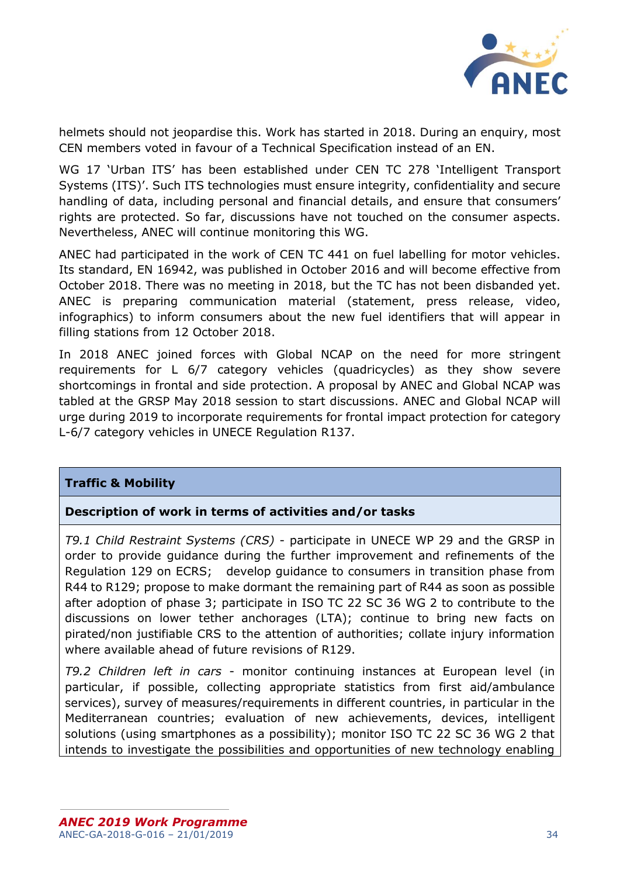

helmets should not jeopardise this. Work has started in 2018. During an enquiry, most CEN members voted in favour of a Technical Specification instead of an EN.

WG 17 'Urban ITS' has been established under CEN TC 278 'Intelligent Transport Systems (ITS)'. Such ITS technologies must ensure integrity, confidentiality and secure handling of data, including personal and financial details, and ensure that consumers' rights are protected. So far, discussions have not touched on the consumer aspects. Nevertheless, ANEC will continue monitoring this WG.

ANEC had participated in the work of CEN TC 441 on fuel labelling for motor vehicles. Its standard, EN 16942, was published in October 2016 and will become effective from October 2018. There was no meeting in 2018, but the TC has not been disbanded yet. ANEC is preparing communication material (statement, press release, video, infographics) to inform consumers about the new fuel identifiers that will appear in filling stations from 12 October 2018.

In 2018 ANEC joined forces with Global NCAP on the need for more stringent requirements for L 6/7 category vehicles (quadricycles) as they show severe shortcomings in frontal and side protection. A proposal by ANEC and Global NCAP was tabled at the GRSP May 2018 session to start discussions. ANEC and Global NCAP will urge during 2019 to incorporate requirements for frontal impact protection for category L-6/7 category vehicles in UNECE Regulation R137.

### **Traffic & Mobility**

### **Description of work in terms of activities and/or tasks**

*T9.1 Child Restraint Systems (CRS)* - participate in UNECE WP 29 and the GRSP in order to provide guidance during the further improvement and refinements of the Regulation 129 on ECRS; develop guidance to consumers in transition phase from R44 to R129; propose to make dormant the remaining part of R44 as soon as possible after adoption of phase 3; participate in ISO TC 22 SC 36 WG 2 to contribute to the discussions on lower tether anchorages (LTA); continue to bring new facts on pirated/non justifiable CRS to the attention of authorities; collate injury information where available ahead of future revisions of R129.

*T9.2 Children left in cars* - monitor continuing instances at European level (in particular, if possible, collecting appropriate statistics from first aid/ambulance services), survey of measures/requirements in different countries, in particular in the Mediterranean countries; evaluation of new achievements, devices, intelligent solutions (using smartphones as a possibility); monitor ISO TC 22 SC 36 WG 2 that intends to investigate the possibilities and opportunities of new technology enabling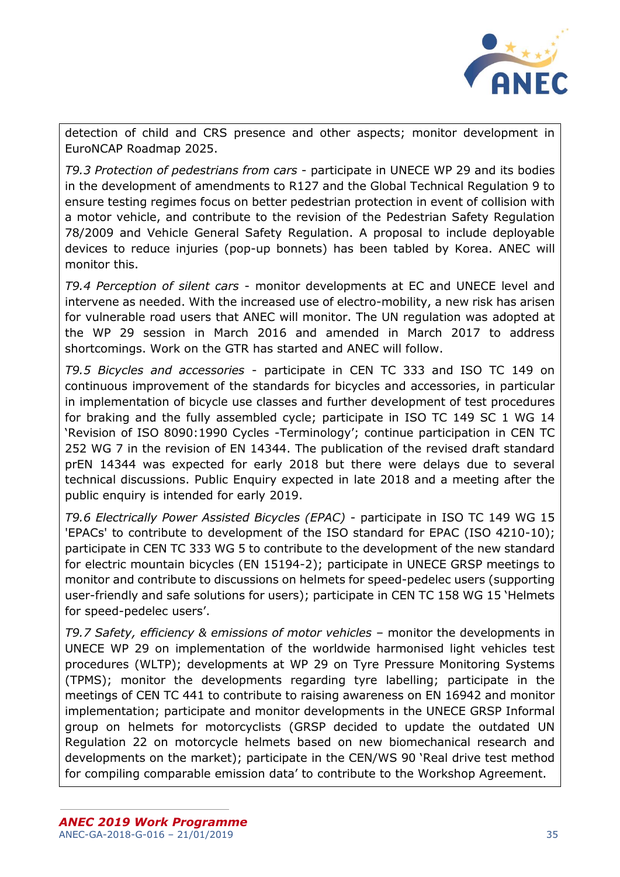

detection of child and CRS presence and other aspects; monitor development in EuroNCAP Roadmap 2025.

*T9.3 Protection of pedestrians from cars* - participate in UNECE WP 29 and its bodies in the development of amendments to R127 and the Global Technical Regulation 9 to ensure testing regimes focus on better pedestrian protection in event of collision with a motor vehicle, and contribute to the revision of the Pedestrian Safety Regulation 78/2009 and Vehicle General Safety Regulation. A proposal to include deployable devices to reduce injuries (pop-up bonnets) has been tabled by Korea. ANEC will monitor this.

*T9.4 Perception of silent cars* - monitor developments at EC and UNECE level and intervene as needed. With the increased use of electro-mobility, a new risk has arisen for vulnerable road users that ANEC will monitor. The UN regulation was adopted at the WP 29 session in March 2016 and amended in March 2017 to address shortcomings. Work on the GTR has started and ANEC will follow.

*T9.5 Bicycles and accessories* - participate in CEN TC 333 and ISO TC 149 on continuous improvement of the standards for bicycles and accessories, in particular in implementation of bicycle use classes and further development of test procedures for braking and the fully assembled cycle; participate in ISO TC 149 SC 1 WG 14 'Revision of ISO 8090:1990 Cycles -Terminology'; continue participation in CEN TC 252 WG 7 in the revision of EN 14344. The publication of the revised draft standard prEN 14344 was expected for early 2018 but there were delays due to several technical discussions. Public Enquiry expected in late 2018 and a meeting after the public enquiry is intended for early 2019.

*T9.6 Electrically Power Assisted Bicycles (EPAC)* - participate in ISO TC 149 WG 15 'EPACs' to contribute to development of the ISO standard for EPAC (ISO 4210-10); participate in CEN TC 333 WG 5 to contribute to the development of the new standard for electric mountain bicycles (EN 15194-2); participate in UNECE GRSP meetings to monitor and contribute to discussions on helmets for speed-pedelec users (supporting user-friendly and safe solutions for users); participate in CEN TC 158 WG 15 'Helmets for speed-pedelec users'.

*T9.7 Safety, efficiency & emissions of motor vehicles* – monitor the developments in UNECE WP 29 on implementation of the worldwide harmonised light vehicles test procedures (WLTP); developments at WP 29 on Tyre Pressure Monitoring Systems (TPMS); monitor the developments regarding tyre labelling; participate in the meetings of CEN TC 441 to contribute to raising awareness on EN 16942 and monitor implementation; participate and monitor developments in the UNECE GRSP Informal group on helmets for motorcyclists (GRSP decided to update the outdated UN Regulation 22 on motorcycle helmets based on new biomechanical research and developments on the market); participate in the CEN/WS 90 'Real drive test method for compiling comparable emission data' to contribute to the Workshop Agreement.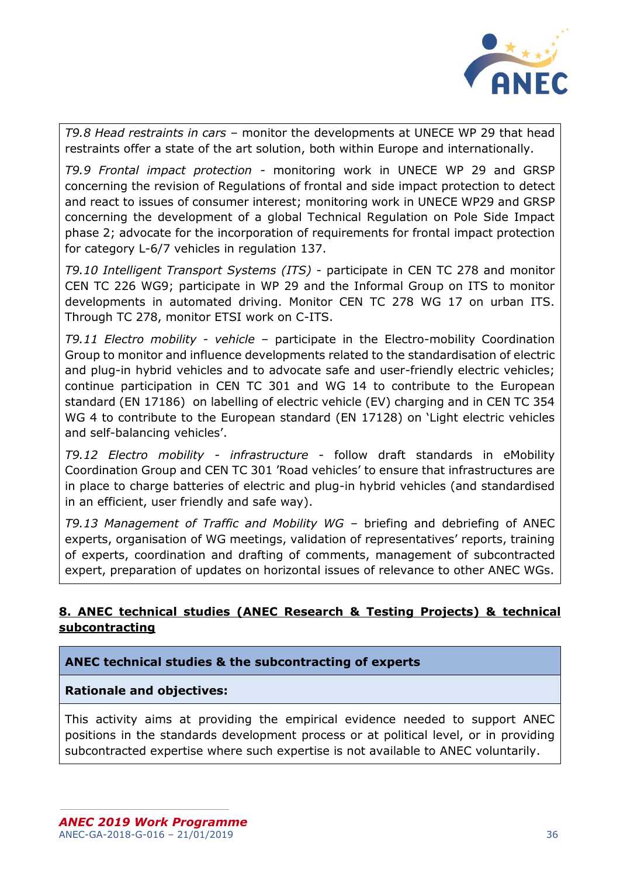

*T9.8 Head restraints in cars* – monitor the developments at UNECE WP 29 that head restraints offer a state of the art solution, both within Europe and internationally.

*T9.9 Frontal impact protection -* monitoring work in UNECE WP 29 and GRSP concerning the revision of Regulations of frontal and side impact protection to detect and react to issues of consumer interest; monitoring work in UNECE WP29 and GRSP concerning the development of a global Technical Regulation on Pole Side Impact phase 2; advocate for the incorporation of requirements for frontal impact protection for category L-6/7 vehicles in regulation 137.

*T9.10 Intelligent Transport Systems (ITS)* - participate in CEN TC 278 and monitor CEN TC 226 WG9; participate in WP 29 and the Informal Group on ITS to monitor developments in automated driving. Monitor CEN TC 278 WG 17 on urban ITS. Through TC 278, monitor ETSI work on C-ITS.

*T9.11 Electro mobility - vehicle* – participate in the Electro-mobility Coordination Group to monitor and influence developments related to the standardisation of electric and plug-in hybrid vehicles and to advocate safe and user-friendly electric vehicles; continue participation in CEN TC 301 and WG 14 to contribute to the European standard (EN 17186) on labelling of electric vehicle (EV) charging and in CEN TC 354 WG 4 to contribute to the European standard (EN 17128) on 'Light electric vehicles and self-balancing vehicles'.

*T9.12 Electro mobility - infrastructure* - follow draft standards in eMobility Coordination Group and CEN TC 301 'Road vehicles' to ensure that infrastructures are in place to charge batteries of electric and plug-in hybrid vehicles (and standardised in an efficient, user friendly and safe way).

*T9.13 Management of Traffic and Mobility WG* – briefing and debriefing of ANEC experts, organisation of WG meetings, validation of representatives' reports, training of experts, coordination and drafting of comments, management of subcontracted expert, preparation of updates on horizontal issues of relevance to other ANEC WGs.

# <span id="page-35-0"></span>**8. ANEC technical studies (ANEC Research & Testing Projects) & technical subcontracting**

# **ANEC technical studies & the subcontracting of experts**

**Rationale and objectives:**

This activity aims at providing the empirical evidence needed to support ANEC positions in the standards development process or at political level, or in providing subcontracted expertise where such expertise is not available to ANEC voluntarily.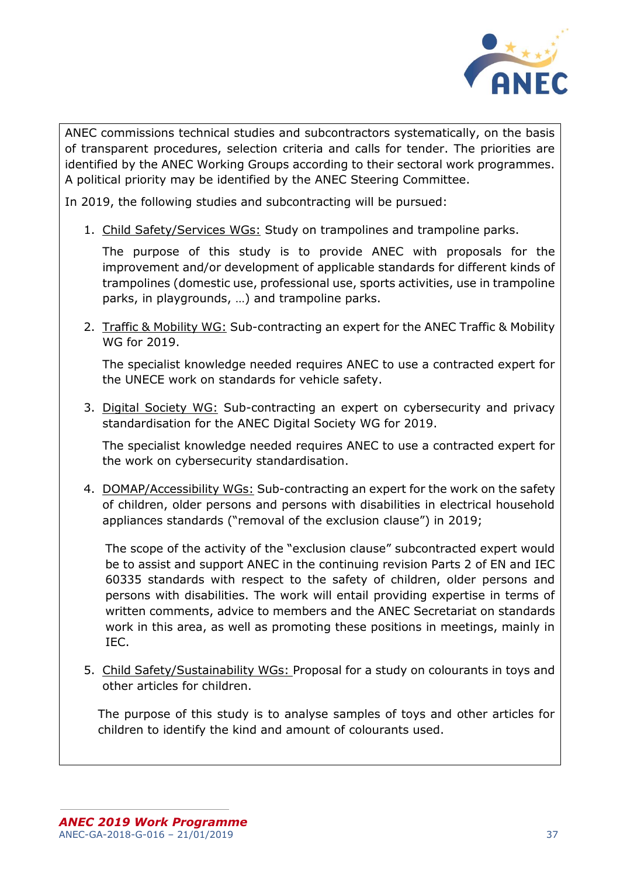

ANEC commissions technical studies and subcontractors systematically, on the basis of transparent procedures, selection criteria and calls for tender. The priorities are identified by the ANEC Working Groups according to their sectoral work programmes. A political priority may be identified by the ANEC Steering Committee.

In 2019, the following studies and subcontracting will be pursued:

1. Child Safety/Services WGs: Study on trampolines and trampoline parks.

The purpose of this study is to provide ANEC with proposals for the improvement and/or development of applicable standards for different kinds of trampolines (domestic use, professional use, sports activities, use in trampoline parks, in playgrounds, …) and trampoline parks.

2. Traffic & Mobility WG: Sub-contracting an expert for the ANEC Traffic & Mobility WG for 2019.

The specialist knowledge needed requires ANEC to use a contracted expert for the UNECE work on standards for vehicle safety.

3. Digital Society WG: Sub-contracting an expert on cybersecurity and privacy standardisation for the ANEC Digital Society WG for 2019.

The specialist knowledge needed requires ANEC to use a contracted expert for the work on cybersecurity standardisation.

4. DOMAP/Accessibility WGs: Sub-contracting an expert for the work on the safety of children, older persons and persons with disabilities in electrical household appliances standards ("removal of the exclusion clause") in 2019;

The scope of the activity of the "exclusion clause" subcontracted expert would be to assist and support ANEC in the continuing revision Parts 2 of EN and IEC 60335 standards with respect to the safety of children, older persons and persons with disabilities. The work will entail providing expertise in terms of written comments, advice to members and the ANEC Secretariat on standards work in this area, as well as promoting these positions in meetings, mainly in IEC.

5. Child Safety/Sustainability WGs: Proposal for a study on colourants in toys and other articles for children.

The purpose of this study is to analyse samples of toys and other articles for children to identify the kind and amount of colourants used.